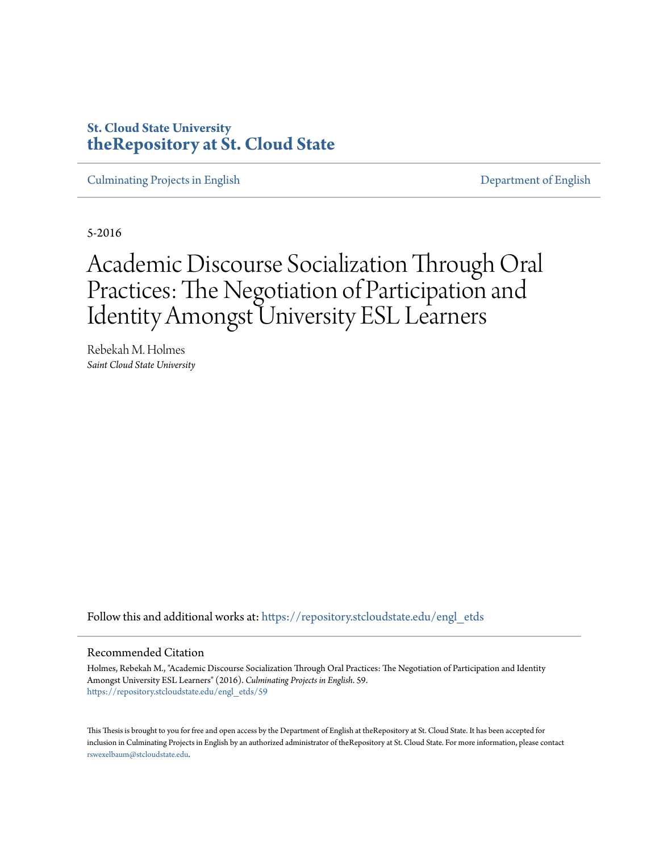# **St. Cloud State University [theRepository at St. Cloud State](https://repository.stcloudstate.edu?utm_source=repository.stcloudstate.edu%2Fengl_etds%2F59&utm_medium=PDF&utm_campaign=PDFCoverPages)**

[Culminating Projects in English](https://repository.stcloudstate.edu/engl_etds?utm_source=repository.stcloudstate.edu%2Fengl_etds%2F59&utm_medium=PDF&utm_campaign=PDFCoverPages) [Department of English](https://repository.stcloudstate.edu/engl?utm_source=repository.stcloudstate.edu%2Fengl_etds%2F59&utm_medium=PDF&utm_campaign=PDFCoverPages)

5-2016

# Academic Discourse Socialization Through Oral Practices: The Negotiation of Participation and Identity Amongst University ESL Learners

Rebekah M. Holmes *Saint Cloud State University*

Follow this and additional works at: [https://repository.stcloudstate.edu/engl\\_etds](https://repository.stcloudstate.edu/engl_etds?utm_source=repository.stcloudstate.edu%2Fengl_etds%2F59&utm_medium=PDF&utm_campaign=PDFCoverPages)

#### Recommended Citation

Holmes, Rebekah M., "Academic Discourse Socialization Through Oral Practices: The Negotiation of Participation and Identity Amongst University ESL Learners" (2016). *Culminating Projects in English*. 59. [https://repository.stcloudstate.edu/engl\\_etds/59](https://repository.stcloudstate.edu/engl_etds/59?utm_source=repository.stcloudstate.edu%2Fengl_etds%2F59&utm_medium=PDF&utm_campaign=PDFCoverPages)

This Thesis is brought to you for free and open access by the Department of English at theRepository at St. Cloud State. It has been accepted for inclusion in Culminating Projects in English by an authorized administrator of theRepository at St. Cloud State. For more information, please contact [rswexelbaum@stcloudstate.edu](mailto:rswexelbaum@stcloudstate.edu).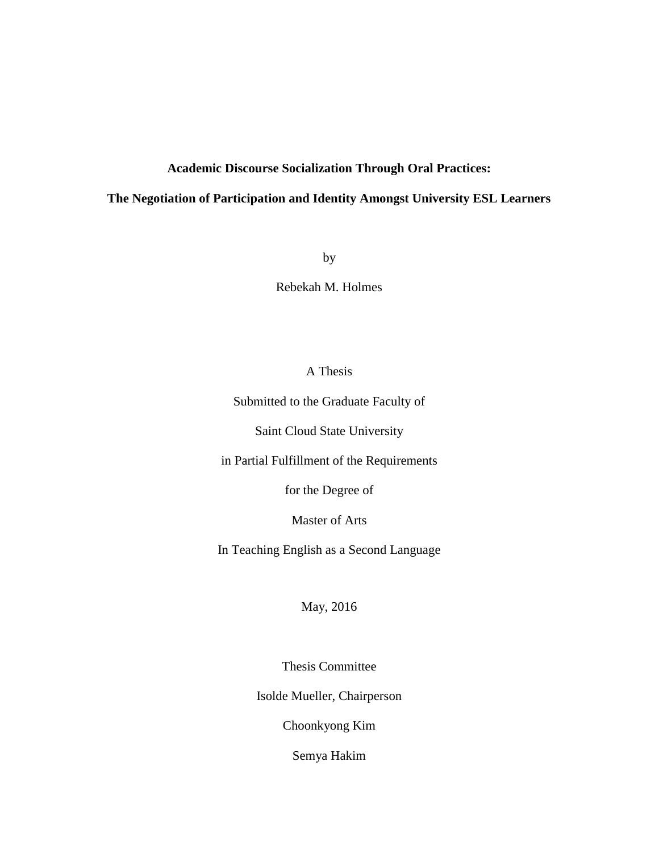## **Academic Discourse Socialization Through Oral Practices:**

## **The Negotiation of Participation and Identity Amongst University ESL Learners**

by

Rebekah M. Holmes

## A Thesis

Submitted to the Graduate Faculty of

Saint Cloud State University

in Partial Fulfillment of the Requirements

for the Degree of

Master of Arts

In Teaching English as a Second Language

May, 2016

Thesis Committee

Isolde Mueller, Chairperson

Choonkyong Kim

Semya Hakim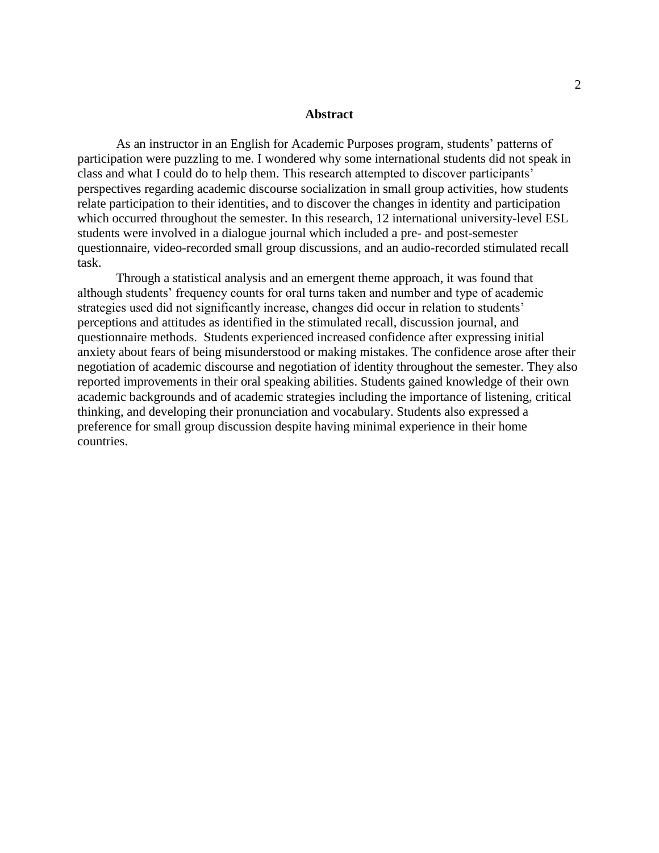#### **Abstract**

As an instructor in an English for Academic Purposes program, students' patterns of participation were puzzling to me. I wondered why some international students did not speak in class and what I could do to help them. This research attempted to discover participants' perspectives regarding academic discourse socialization in small group activities, how students relate participation to their identities, and to discover the changes in identity and participation which occurred throughout the semester. In this research, 12 international university-level ESL students were involved in a dialogue journal which included a pre- and post-semester questionnaire, video-recorded small group discussions, and an audio-recorded stimulated recall task.

Through a statistical analysis and an emergent theme approach, it was found that although students' frequency counts for oral turns taken and number and type of academic strategies used did not significantly increase, changes did occur in relation to students' perceptions and attitudes as identified in the stimulated recall, discussion journal, and questionnaire methods. Students experienced increased confidence after expressing initial anxiety about fears of being misunderstood or making mistakes. The confidence arose after their negotiation of academic discourse and negotiation of identity throughout the semester. They also reported improvements in their oral speaking abilities. Students gained knowledge of their own academic backgrounds and of academic strategies including the importance of listening, critical thinking, and developing their pronunciation and vocabulary. Students also expressed a preference for small group discussion despite having minimal experience in their home countries.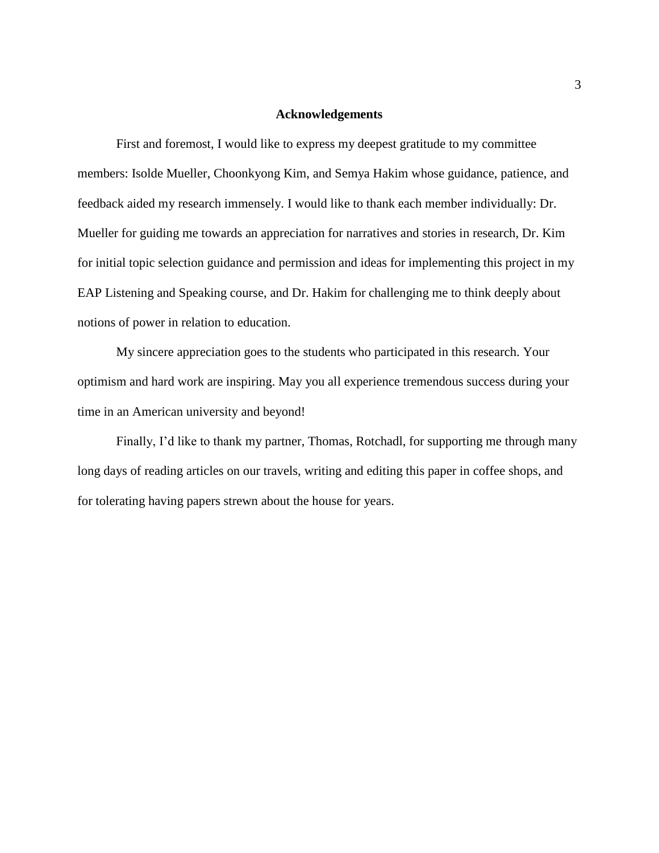#### **Acknowledgements**

First and foremost, I would like to express my deepest gratitude to my committee members: Isolde Mueller, Choonkyong Kim, and Semya Hakim whose guidance, patience, and feedback aided my research immensely. I would like to thank each member individually: Dr. Mueller for guiding me towards an appreciation for narratives and stories in research, Dr. Kim for initial topic selection guidance and permission and ideas for implementing this project in my EAP Listening and Speaking course, and Dr. Hakim for challenging me to think deeply about notions of power in relation to education.

My sincere appreciation goes to the students who participated in this research. Your optimism and hard work are inspiring. May you all experience tremendous success during your time in an American university and beyond!

Finally, I'd like to thank my partner, Thomas, Rotchadl, for supporting me through many long days of reading articles on our travels, writing and editing this paper in coffee shops, and for tolerating having papers strewn about the house for years.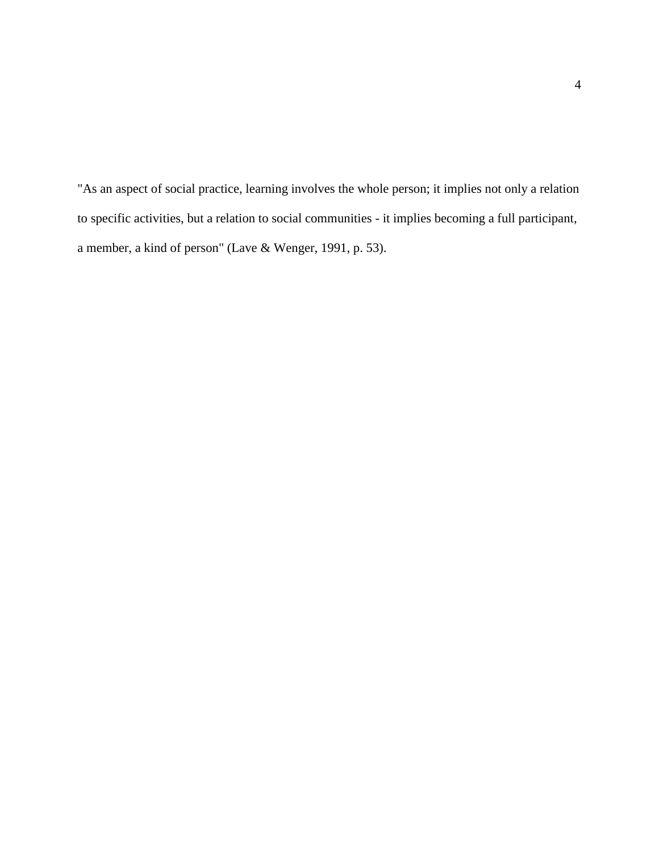"As an aspect of social practice, learning involves the whole person; it implies not only a relation to specific activities, but a relation to social communities - it implies becoming a full participant, a member, a kind of person" (Lave & Wenger, 1991, p. 53).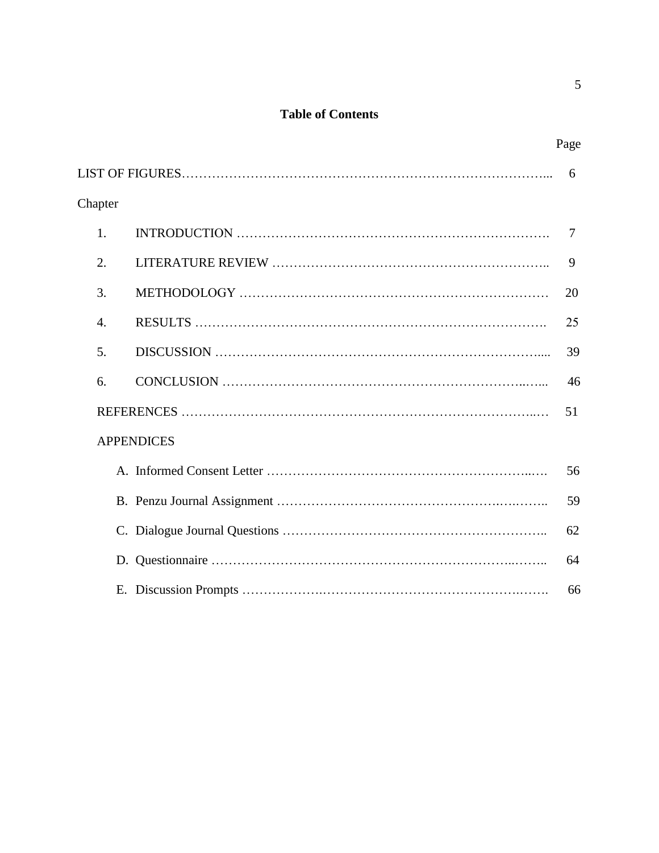# **Table of Contents**

|         |                   | Page |
|---------|-------------------|------|
|         |                   | 6    |
| Chapter |                   |      |
| 1.      |                   | 7    |
| 2.      |                   | 9    |
| 3.      |                   | 20   |
| 4.      |                   | 25   |
| 5.      |                   | 39   |
| 6.      |                   | 46   |
|         |                   | 51   |
|         | <b>APPENDICES</b> |      |
|         |                   | 56   |
|         |                   | 59   |
|         |                   | 62   |
|         |                   | 64   |
|         |                   | 66   |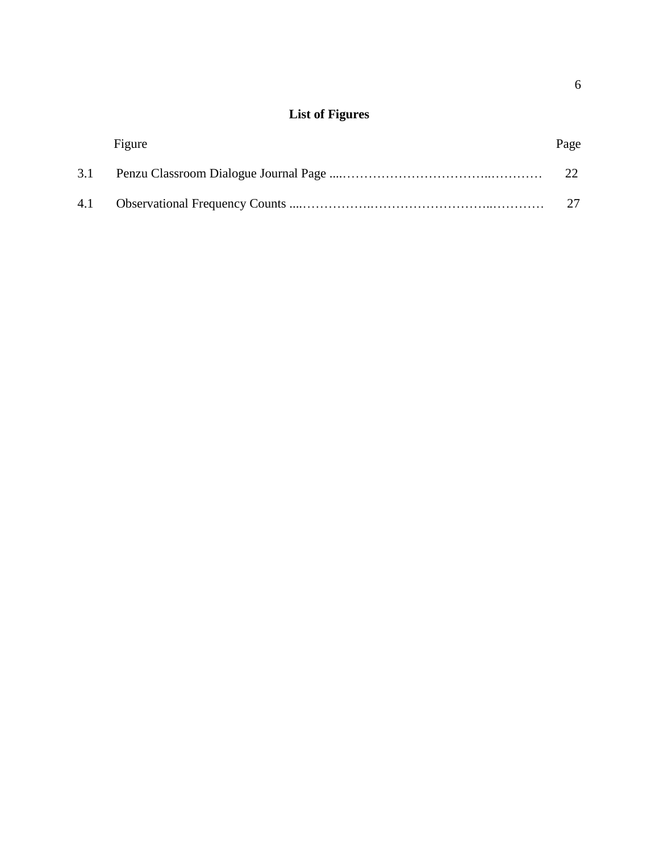# **List of Figures**

|     | Figure | Page |
|-----|--------|------|
| 3.1 |        |      |
|     |        |      |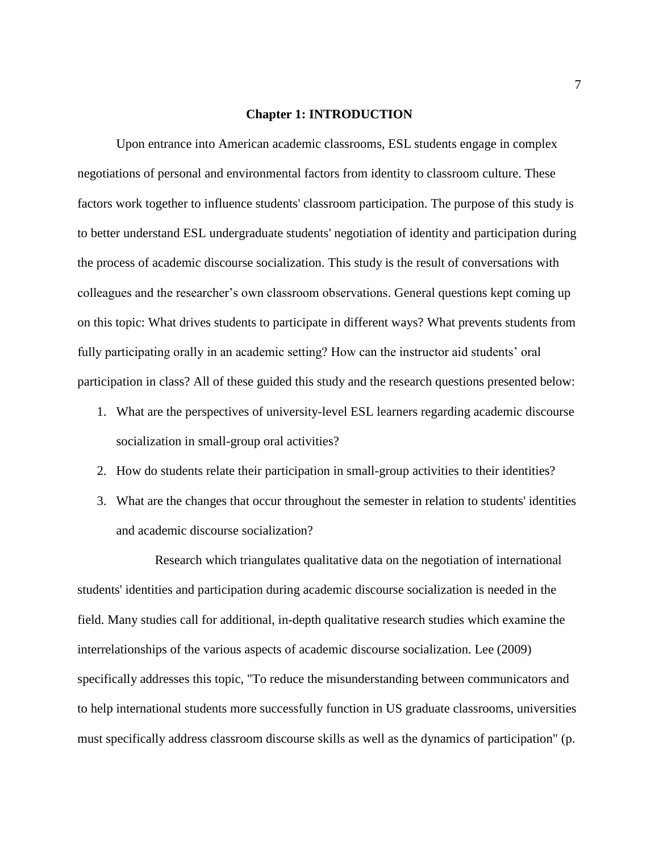#### **Chapter 1: INTRODUCTION**

Upon entrance into American academic classrooms, ESL students engage in complex negotiations of personal and environmental factors from identity to classroom culture. These factors work together to influence students' classroom participation. The purpose of this study is to better understand ESL undergraduate students' negotiation of identity and participation during the process of academic discourse socialization. This study is the result of conversations with colleagues and the researcher's own classroom observations. General questions kept coming up on this topic: What drives students to participate in different ways? What prevents students from fully participating orally in an academic setting? How can the instructor aid students' oral participation in class? All of these guided this study and the research questions presented below:

- 1. What are the perspectives of university-level ESL learners regarding academic discourse socialization in small-group oral activities?
- 2. How do students relate their participation in small-group activities to their identities?
- 3. What are the changes that occur throughout the semester in relation to students' identities and academic discourse socialization?

Research which triangulates qualitative data on the negotiation of international students' identities and participation during academic discourse socialization is needed in the field. Many studies call for additional, in-depth qualitative research studies which examine the interrelationships of the various aspects of academic discourse socialization. Lee (2009) specifically addresses this topic, "To reduce the misunderstanding between communicators and to help international students more successfully function in US graduate classrooms, universities must specifically address classroom discourse skills as well as the dynamics of participation" (p.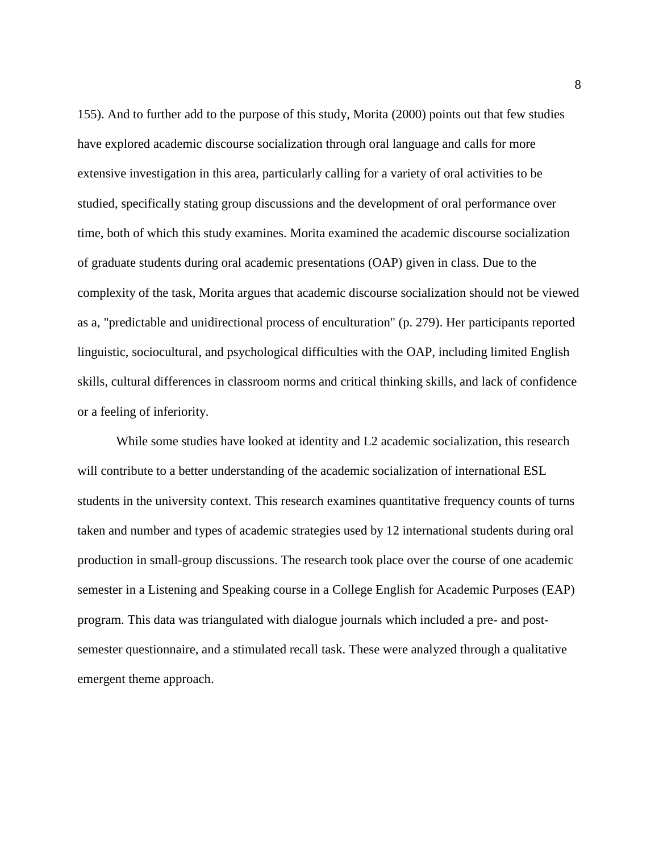155). And to further add to the purpose of this study, Morita (2000) points out that few studies have explored academic discourse socialization through oral language and calls for more extensive investigation in this area, particularly calling for a variety of oral activities to be studied, specifically stating group discussions and the development of oral performance over time, both of which this study examines. Morita examined the academic discourse socialization of graduate students during oral academic presentations (OAP) given in class. Due to the complexity of the task, Morita argues that academic discourse socialization should not be viewed as a, "predictable and unidirectional process of enculturation" (p. 279). Her participants reported linguistic, sociocultural, and psychological difficulties with the OAP, including limited English skills, cultural differences in classroom norms and critical thinking skills, and lack of confidence or a feeling of inferiority.

While some studies have looked at identity and L2 academic socialization, this research will contribute to a better understanding of the academic socialization of international ESL students in the university context. This research examines quantitative frequency counts of turns taken and number and types of academic strategies used by 12 international students during oral production in small-group discussions. The research took place over the course of one academic semester in a Listening and Speaking course in a College English for Academic Purposes (EAP) program. This data was triangulated with dialogue journals which included a pre- and postsemester questionnaire, and a stimulated recall task. These were analyzed through a qualitative emergent theme approach.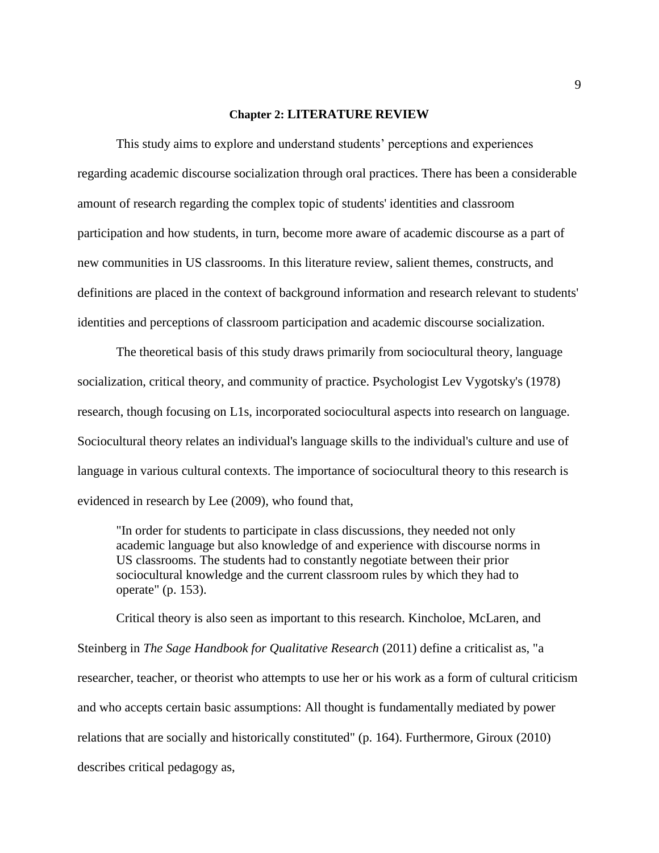#### **Chapter 2: LITERATURE REVIEW**

This study aims to explore and understand students' perceptions and experiences regarding academic discourse socialization through oral practices. There has been a considerable amount of research regarding the complex topic of students' identities and classroom participation and how students, in turn, become more aware of academic discourse as a part of new communities in US classrooms. In this literature review, salient themes, constructs, and definitions are placed in the context of background information and research relevant to students' identities and perceptions of classroom participation and academic discourse socialization.

The theoretical basis of this study draws primarily from sociocultural theory, language socialization, critical theory, and community of practice. Psychologist Lev Vygotsky's (1978) research, though focusing on L1s, incorporated sociocultural aspects into research on language. Sociocultural theory relates an individual's language skills to the individual's culture and use of language in various cultural contexts. The importance of sociocultural theory to this research is evidenced in research by Lee (2009), who found that,

"In order for students to participate in class discussions, they needed not only academic language but also knowledge of and experience with discourse norms in US classrooms. The students had to constantly negotiate between their prior sociocultural knowledge and the current classroom rules by which they had to operate" (p. 153).

Critical theory is also seen as important to this research. Kincholoe, McLaren, and Steinberg in *The Sage Handbook for Qualitative Research* (2011) define a criticalist as, "a researcher, teacher, or theorist who attempts to use her or his work as a form of cultural criticism and who accepts certain basic assumptions: All thought is fundamentally mediated by power relations that are socially and historically constituted" (p. 164). Furthermore, Giroux (2010) describes critical pedagogy as,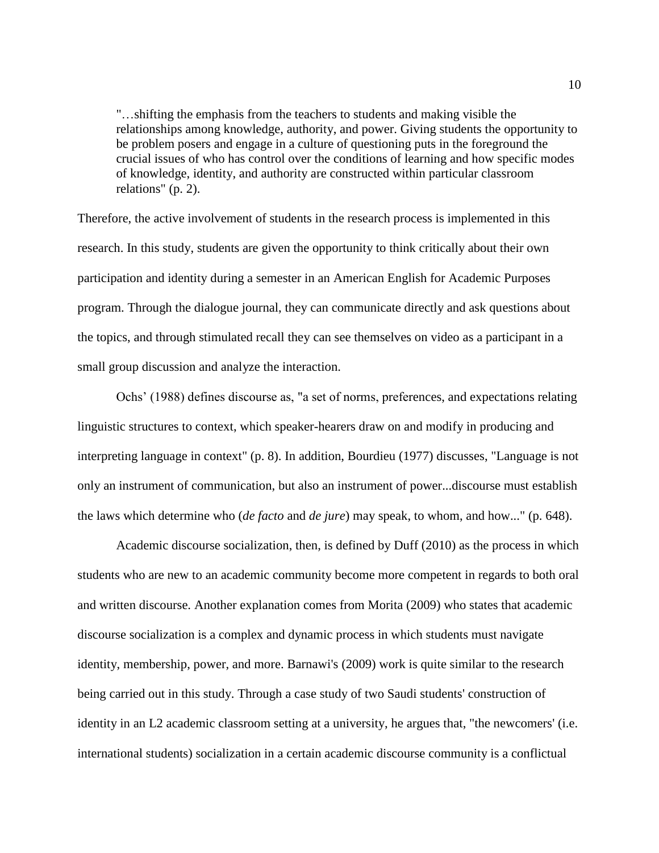"…shifting the emphasis from the teachers to students and making visible the relationships among knowledge, authority, and power. Giving students the opportunity to be problem posers and engage in a culture of questioning puts in the foreground the crucial issues of who has control over the conditions of learning and how specific modes of knowledge, identity, and authority are constructed within particular classroom relations" (p. 2).

Therefore, the active involvement of students in the research process is implemented in this research. In this study, students are given the opportunity to think critically about their own participation and identity during a semester in an American English for Academic Purposes program. Through the dialogue journal, they can communicate directly and ask questions about the topics, and through stimulated recall they can see themselves on video as a participant in a small group discussion and analyze the interaction.

Ochs' (1988) defines discourse as, "a set of norms, preferences, and expectations relating linguistic structures to context, which speaker-hearers draw on and modify in producing and interpreting language in context" (p. 8). In addition, Bourdieu (1977) discusses, "Language is not only an instrument of communication, but also an instrument of power...discourse must establish the laws which determine who (*de facto* and *de jure*) may speak, to whom, and how..." (p. 648).

Academic discourse socialization, then, is defined by Duff (2010) as the process in which students who are new to an academic community become more competent in regards to both oral and written discourse. Another explanation comes from Morita (2009) who states that academic discourse socialization is a complex and dynamic process in which students must navigate identity, membership, power, and more. Barnawi's (2009) work is quite similar to the research being carried out in this study. Through a case study of two Saudi students' construction of identity in an L2 academic classroom setting at a university, he argues that, "the newcomers' (i.e. international students) socialization in a certain academic discourse community is a conflictual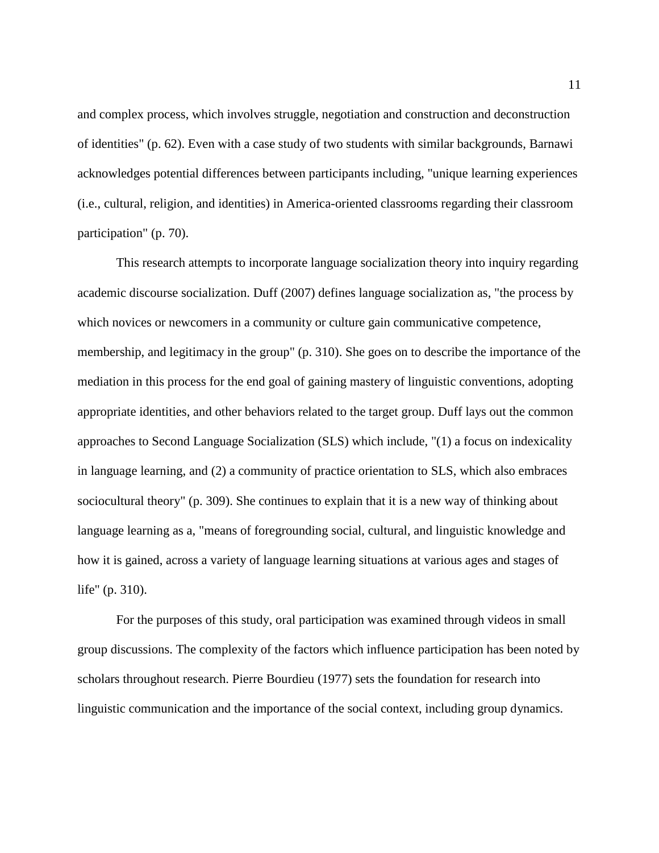and complex process, which involves struggle, negotiation and construction and deconstruction of identities" (p. 62). Even with a case study of two students with similar backgrounds, Barnawi acknowledges potential differences between participants including, "unique learning experiences (i.e., cultural, religion, and identities) in America-oriented classrooms regarding their classroom participation" (p. 70).

This research attempts to incorporate language socialization theory into inquiry regarding academic discourse socialization. Duff (2007) defines language socialization as, "the process by which novices or newcomers in a community or culture gain communicative competence, membership, and legitimacy in the group" (p. 310). She goes on to describe the importance of the mediation in this process for the end goal of gaining mastery of linguistic conventions, adopting appropriate identities, and other behaviors related to the target group. Duff lays out the common approaches to Second Language Socialization (SLS) which include, "(1) a focus on indexicality in language learning, and (2) a community of practice orientation to SLS, which also embraces sociocultural theory" (p. 309). She continues to explain that it is a new way of thinking about language learning as a, "means of foregrounding social, cultural, and linguistic knowledge and how it is gained, across a variety of language learning situations at various ages and stages of life" (p. 310).

For the purposes of this study, oral participation was examined through videos in small group discussions. The complexity of the factors which influence participation has been noted by scholars throughout research. Pierre Bourdieu (1977) sets the foundation for research into linguistic communication and the importance of the social context, including group dynamics.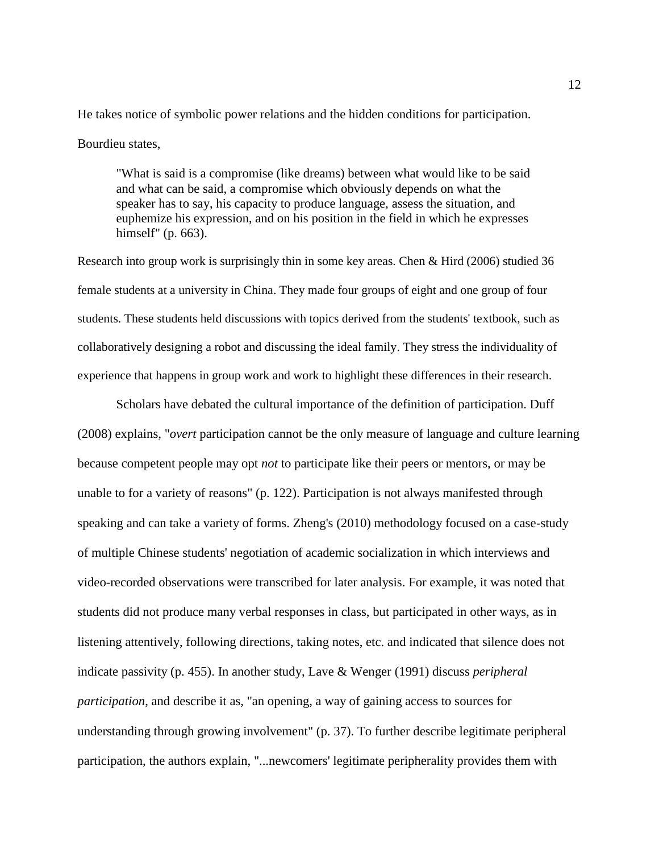He takes notice of symbolic power relations and the hidden conditions for participation. Bourdieu states,

"What is said is a compromise (like dreams) between what would like to be said and what can be said, a compromise which obviously depends on what the speaker has to say, his capacity to produce language, assess the situation, and euphemize his expression, and on his position in the field in which he expresses himself" (p. 663).

Research into group work is surprisingly thin in some key areas. Chen & Hird (2006) studied 36 female students at a university in China. They made four groups of eight and one group of four students. These students held discussions with topics derived from the students' textbook, such as collaboratively designing a robot and discussing the ideal family. They stress the individuality of experience that happens in group work and work to highlight these differences in their research.

Scholars have debated the cultural importance of the definition of participation. Duff (2008) explains, "*overt* participation cannot be the only measure of language and culture learning because competent people may opt *not* to participate like their peers or mentors, or may be unable to for a variety of reasons" (p. 122). Participation is not always manifested through speaking and can take a variety of forms. Zheng's (2010) methodology focused on a case-study of multiple Chinese students' negotiation of academic socialization in which interviews and video-recorded observations were transcribed for later analysis. For example, it was noted that students did not produce many verbal responses in class, but participated in other ways, as in listening attentively, following directions, taking notes, etc. and indicated that silence does not indicate passivity (p. 455). In another study, Lave & Wenger (1991) discuss *peripheral participation*, and describe it as, "an opening, a way of gaining access to sources for understanding through growing involvement" (p. 37). To further describe legitimate peripheral participation, the authors explain, "...newcomers' legitimate peripherality provides them with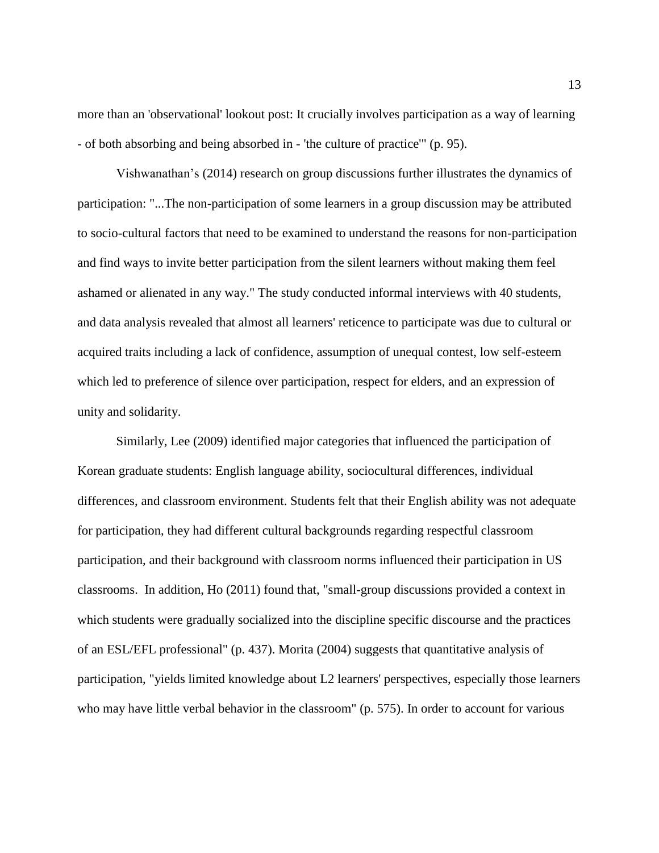more than an 'observational' lookout post: It crucially involves participation as a way of learning - of both absorbing and being absorbed in - 'the culture of practice'" (p. 95).

Vishwanathan's (2014) research on group discussions further illustrates the dynamics of participation: "...The non-participation of some learners in a group discussion may be attributed to socio-cultural factors that need to be examined to understand the reasons for non-participation and find ways to invite better participation from the silent learners without making them feel ashamed or alienated in any way." The study conducted informal interviews with 40 students, and data analysis revealed that almost all learners' reticence to participate was due to cultural or acquired traits including a lack of confidence, assumption of unequal contest, low self-esteem which led to preference of silence over participation, respect for elders, and an expression of unity and solidarity.

Similarly, Lee (2009) identified major categories that influenced the participation of Korean graduate students: English language ability, sociocultural differences, individual differences, and classroom environment. Students felt that their English ability was not adequate for participation, they had different cultural backgrounds regarding respectful classroom participation, and their background with classroom norms influenced their participation in US classrooms. In addition, Ho (2011) found that, "small-group discussions provided a context in which students were gradually socialized into the discipline specific discourse and the practices of an ESL/EFL professional" (p. 437). Morita (2004) suggests that quantitative analysis of participation, "yields limited knowledge about L2 learners' perspectives, especially those learners who may have little verbal behavior in the classroom" (p. 575). In order to account for various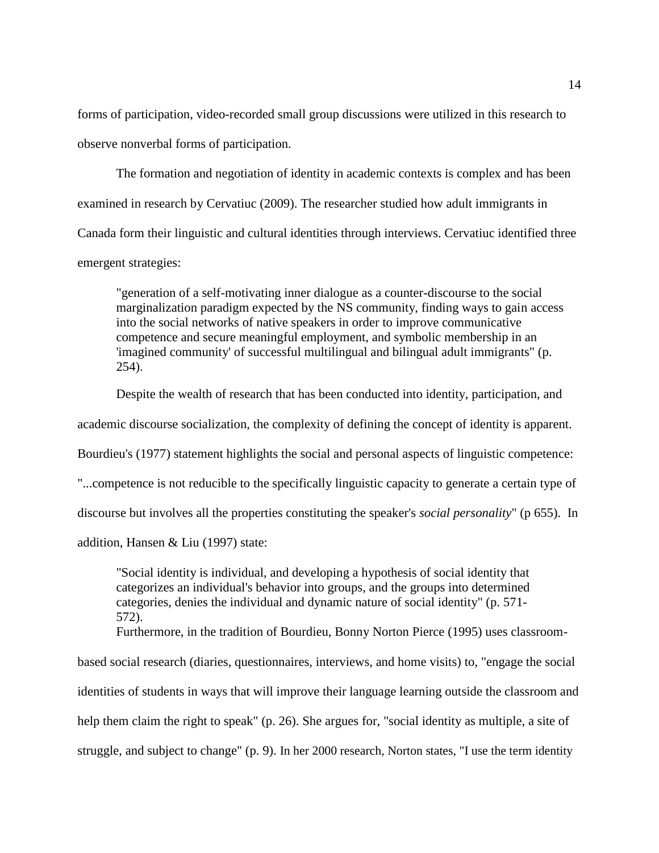forms of participation, video-recorded small group discussions were utilized in this research to observe nonverbal forms of participation.

The formation and negotiation of identity in academic contexts is complex and has been examined in research by Cervatiuc (2009). The researcher studied how adult immigrants in Canada form their linguistic and cultural identities through interviews. Cervatiuc identified three emergent strategies:

"generation of a self-motivating inner dialogue as a counter-discourse to the social marginalization paradigm expected by the NS community, finding ways to gain access into the social networks of native speakers in order to improve communicative competence and secure meaningful employment, and symbolic membership in an 'imagined community' of successful multilingual and bilingual adult immigrants" (p. 254).

Despite the wealth of research that has been conducted into identity, participation, and

academic discourse socialization, the complexity of defining the concept of identity is apparent.

Bourdieu's (1977) statement highlights the social and personal aspects of linguistic competence:

"...competence is not reducible to the specifically linguistic capacity to generate a certain type of

discourse but involves all the properties constituting the speaker's *social personality*" (p 655). In

addition, Hansen & Liu (1997) state:

"Social identity is individual, and developing a hypothesis of social identity that categorizes an individual's behavior into groups, and the groups into determined categories, denies the individual and dynamic nature of social identity" (p. 571- 572).

Furthermore, in the tradition of Bourdieu, Bonny Norton Pierce (1995) uses classroom-

based social research (diaries, questionnaires, interviews, and home visits) to, "engage the social identities of students in ways that will improve their language learning outside the classroom and help them claim the right to speak" (p. 26). She argues for, "social identity as multiple, a site of struggle, and subject to change" (p. 9). In her 2000 research, Norton states, "I use the term identity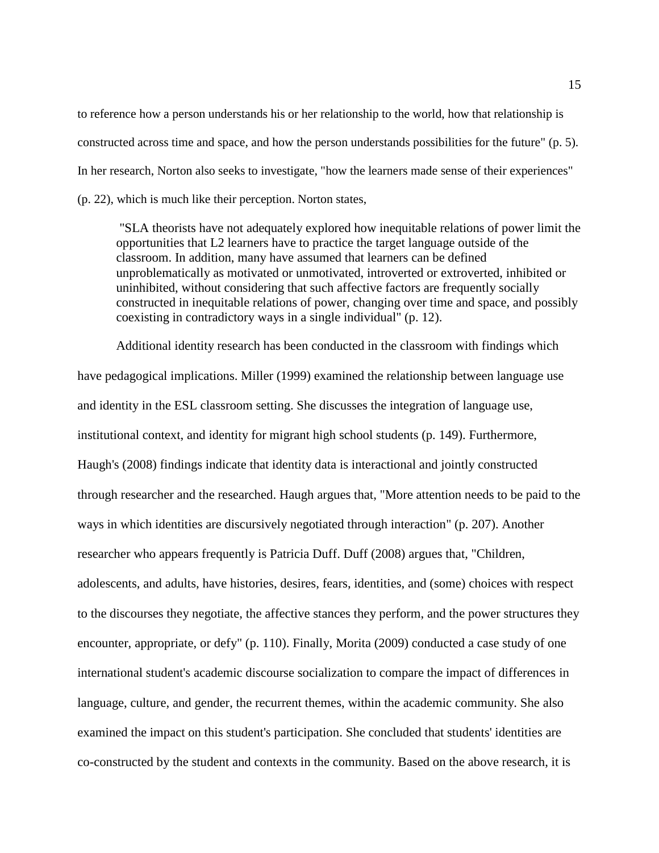to reference how a person understands his or her relationship to the world, how that relationship is constructed across time and space, and how the person understands possibilities for the future" (p. 5). In her research, Norton also seeks to investigate, "how the learners made sense of their experiences" (p. 22), which is much like their perception. Norton states,

"SLA theorists have not adequately explored how inequitable relations of power limit the opportunities that L2 learners have to practice the target language outside of the classroom. In addition, many have assumed that learners can be defined unproblematically as motivated or unmotivated, introverted or extroverted, inhibited or uninhibited, without considering that such affective factors are frequently socially constructed in inequitable relations of power, changing over time and space, and possibly coexisting in contradictory ways in a single individual" (p. 12).

Additional identity research has been conducted in the classroom with findings which have pedagogical implications. Miller (1999) examined the relationship between language use and identity in the ESL classroom setting. She discusses the integration of language use, institutional context, and identity for migrant high school students (p. 149). Furthermore, Haugh's (2008) findings indicate that identity data is interactional and jointly constructed through researcher and the researched. Haugh argues that, "More attention needs to be paid to the ways in which identities are discursively negotiated through interaction" (p. 207). Another researcher who appears frequently is Patricia Duff. Duff (2008) argues that, "Children, adolescents, and adults, have histories, desires, fears, identities, and (some) choices with respect to the discourses they negotiate, the affective stances they perform, and the power structures they encounter, appropriate, or defy" (p. 110). Finally, Morita (2009) conducted a case study of one international student's academic discourse socialization to compare the impact of differences in language, culture, and gender, the recurrent themes, within the academic community. She also examined the impact on this student's participation. She concluded that students' identities are co-constructed by the student and contexts in the community. Based on the above research, it is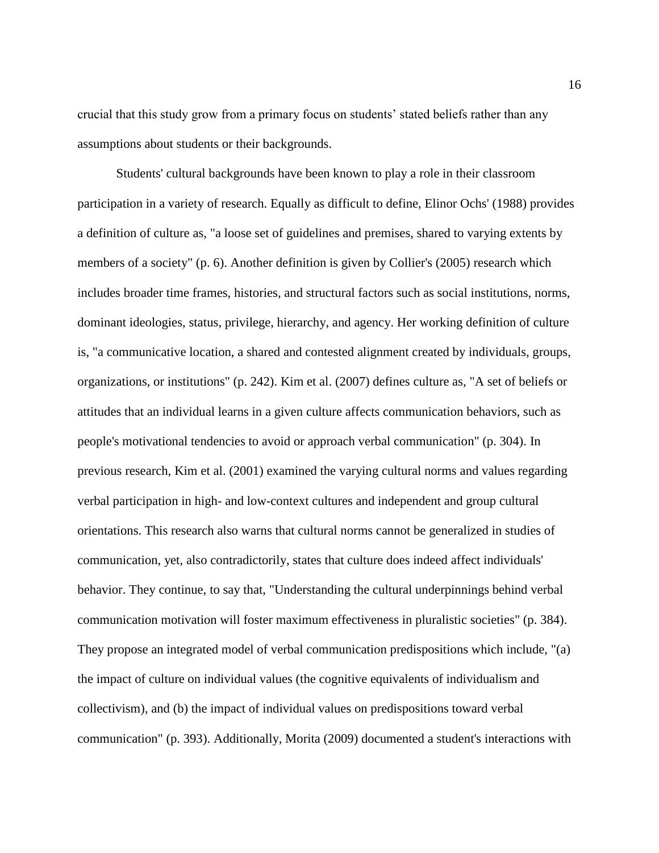crucial that this study grow from a primary focus on students' stated beliefs rather than any assumptions about students or their backgrounds.

Students' cultural backgrounds have been known to play a role in their classroom participation in a variety of research. Equally as difficult to define, Elinor Ochs' (1988) provides a definition of culture as, "a loose set of guidelines and premises, shared to varying extents by members of a society" (p. 6). Another definition is given by Collier's (2005) research which includes broader time frames, histories, and structural factors such as social institutions, norms, dominant ideologies, status, privilege, hierarchy, and agency. Her working definition of culture is, "a communicative location, a shared and contested alignment created by individuals, groups, organizations, or institutions" (p. 242). Kim et al. (2007) defines culture as, "A set of beliefs or attitudes that an individual learns in a given culture affects communication behaviors, such as people's motivational tendencies to avoid or approach verbal communication" (p. 304). In previous research, Kim et al. (2001) examined the varying cultural norms and values regarding verbal participation in high- and low-context cultures and independent and group cultural orientations. This research also warns that cultural norms cannot be generalized in studies of communication, yet, also contradictorily, states that culture does indeed affect individuals' behavior. They continue, to say that, "Understanding the cultural underpinnings behind verbal communication motivation will foster maximum effectiveness in pluralistic societies" (p. 384). They propose an integrated model of verbal communication predispositions which include, "(a) the impact of culture on individual values (the cognitive equivalents of individualism and collectivism), and (b) the impact of individual values on predispositions toward verbal communication" (p. 393). Additionally, Morita (2009) documented a student's interactions with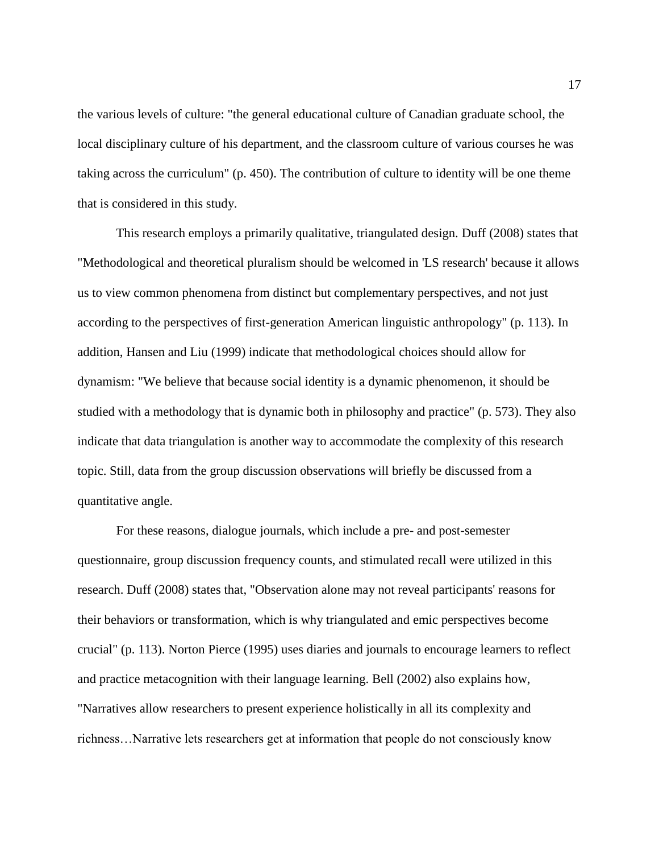the various levels of culture: "the general educational culture of Canadian graduate school, the local disciplinary culture of his department, and the classroom culture of various courses he was taking across the curriculum" (p. 450). The contribution of culture to identity will be one theme that is considered in this study.

This research employs a primarily qualitative, triangulated design. Duff (2008) states that "Methodological and theoretical pluralism should be welcomed in 'LS research' because it allows us to view common phenomena from distinct but complementary perspectives, and not just according to the perspectives of first-generation American linguistic anthropology" (p. 113). In addition, Hansen and Liu (1999) indicate that methodological choices should allow for dynamism: "We believe that because social identity is a dynamic phenomenon, it should be studied with a methodology that is dynamic both in philosophy and practice" (p. 573). They also indicate that data triangulation is another way to accommodate the complexity of this research topic. Still, data from the group discussion observations will briefly be discussed from a quantitative angle.

For these reasons, dialogue journals, which include a pre- and post-semester questionnaire, group discussion frequency counts, and stimulated recall were utilized in this research. Duff (2008) states that, "Observation alone may not reveal participants' reasons for their behaviors or transformation, which is why triangulated and emic perspectives become crucial" (p. 113). Norton Pierce (1995) uses diaries and journals to encourage learners to reflect and practice metacognition with their language learning. Bell (2002) also explains how, "Narratives allow researchers to present experience holistically in all its complexity and richness…Narrative lets researchers get at information that people do not consciously know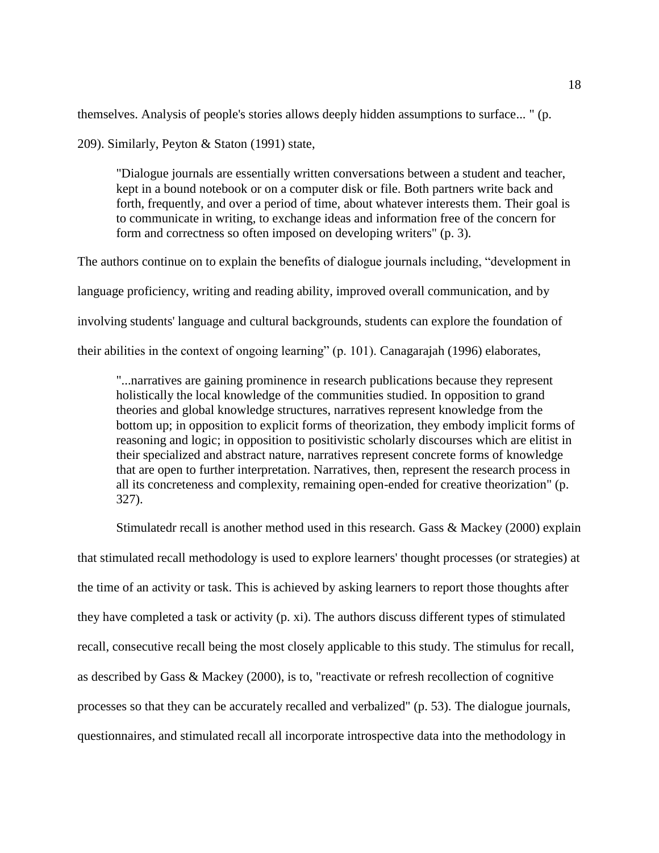themselves. Analysis of people's stories allows deeply hidden assumptions to surface... " (p.

209). Similarly, Peyton & Staton (1991) state,

"Dialogue journals are essentially written conversations between a student and teacher, kept in a bound notebook or on a computer disk or file. Both partners write back and forth, frequently, and over a period of time, about whatever interests them. Their goal is to communicate in writing, to exchange ideas and information free of the concern for form and correctness so often imposed on developing writers" (p. 3).

The authors continue on to explain the benefits of dialogue journals including, "development in language proficiency, writing and reading ability, improved overall communication, and by involving students' language and cultural backgrounds, students can explore the foundation of their abilities in the context of ongoing learning" (p. 101). Canagarajah (1996) elaborates,

"...narratives are gaining prominence in research publications because they represent holistically the local knowledge of the communities studied. In opposition to grand theories and global knowledge structures, narratives represent knowledge from the bottom up; in opposition to explicit forms of theorization, they embody implicit forms of reasoning and logic; in opposition to positivistic scholarly discourses which are elitist in their specialized and abstract nature, narratives represent concrete forms of knowledge that are open to further interpretation. Narratives, then, represent the research process in all its concreteness and complexity, remaining open-ended for creative theorization" (p. 327).

Stimulatedr recall is another method used in this research. Gass & Mackey (2000) explain that stimulated recall methodology is used to explore learners' thought processes (or strategies) at the time of an activity or task. This is achieved by asking learners to report those thoughts after they have completed a task or activity (p. xi). The authors discuss different types of stimulated recall, consecutive recall being the most closely applicable to this study. The stimulus for recall, as described by Gass & Mackey (2000), is to, "reactivate or refresh recollection of cognitive processes so that they can be accurately recalled and verbalized" (p. 53). The dialogue journals, questionnaires, and stimulated recall all incorporate introspective data into the methodology in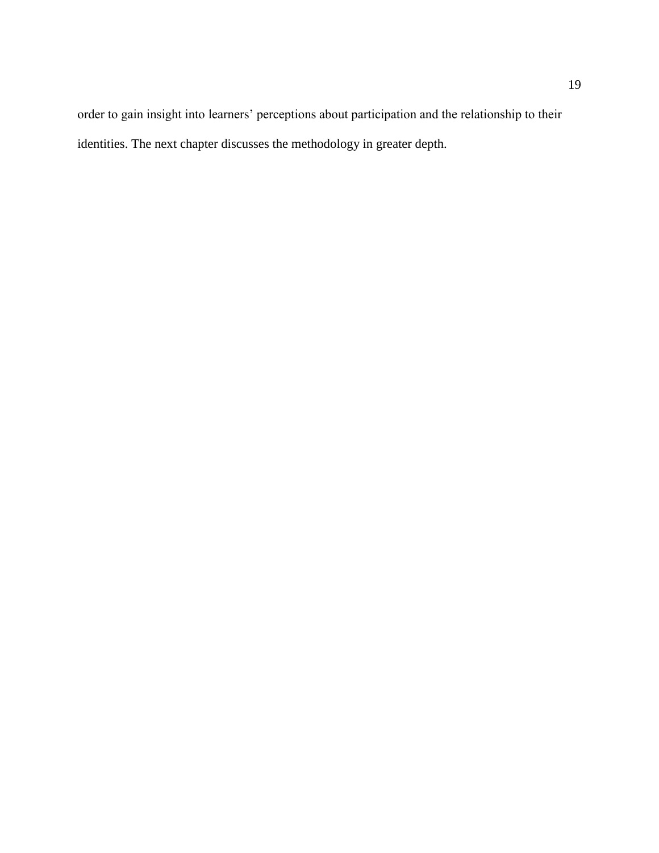order to gain insight into learners' perceptions about participation and the relationship to their identities. The next chapter discusses the methodology in greater depth.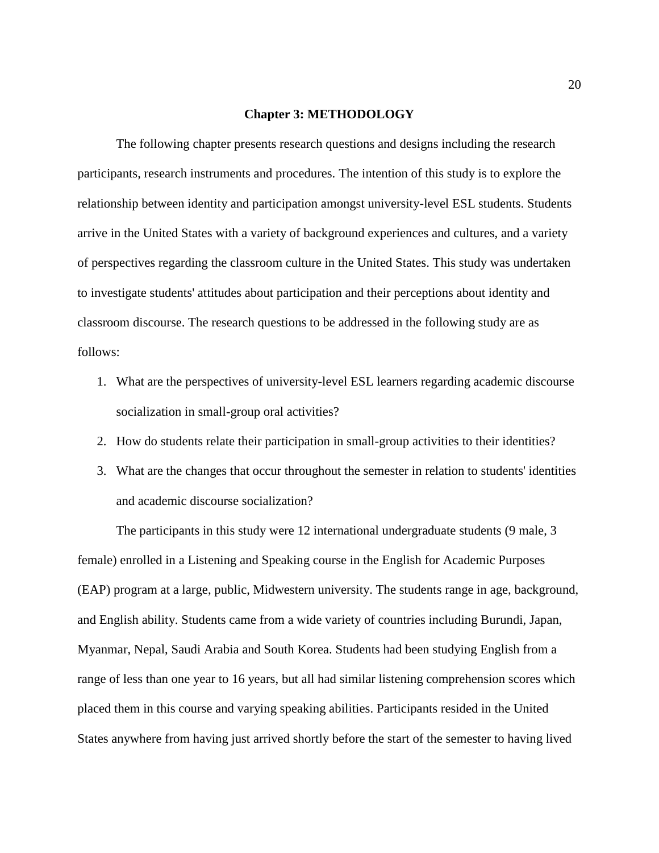#### **Chapter 3: METHODOLOGY**

The following chapter presents research questions and designs including the research participants, research instruments and procedures. The intention of this study is to explore the relationship between identity and participation amongst university-level ESL students. Students arrive in the United States with a variety of background experiences and cultures, and a variety of perspectives regarding the classroom culture in the United States. This study was undertaken to investigate students' attitudes about participation and their perceptions about identity and classroom discourse. The research questions to be addressed in the following study are as follows:

- 1. What are the perspectives of university-level ESL learners regarding academic discourse socialization in small-group oral activities?
- 2. How do students relate their participation in small-group activities to their identities?
- 3. What are the changes that occur throughout the semester in relation to students' identities and academic discourse socialization?

The participants in this study were 12 international undergraduate students (9 male, 3 female) enrolled in a Listening and Speaking course in the English for Academic Purposes (EAP) program at a large, public, Midwestern university. The students range in age, background, and English ability. Students came from a wide variety of countries including Burundi, Japan, Myanmar, Nepal, Saudi Arabia and South Korea. Students had been studying English from a range of less than one year to 16 years, but all had similar listening comprehension scores which placed them in this course and varying speaking abilities. Participants resided in the United States anywhere from having just arrived shortly before the start of the semester to having lived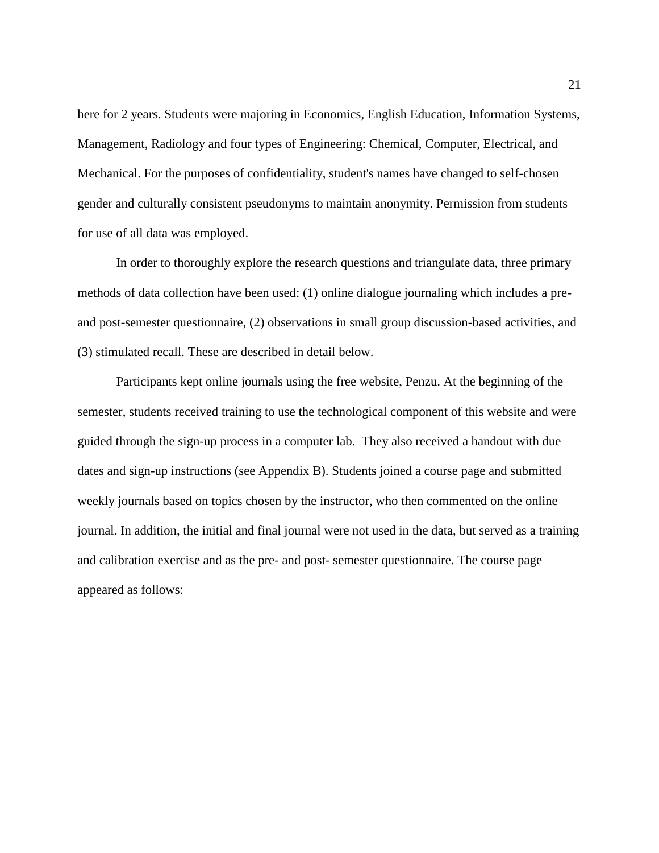here for 2 years. Students were majoring in Economics, English Education, Information Systems, Management, Radiology and four types of Engineering: Chemical, Computer, Electrical, and Mechanical. For the purposes of confidentiality, student's names have changed to self-chosen gender and culturally consistent pseudonyms to maintain anonymity. Permission from students for use of all data was employed.

In order to thoroughly explore the research questions and triangulate data, three primary methods of data collection have been used: (1) online dialogue journaling which includes a preand post-semester questionnaire, (2) observations in small group discussion-based activities, and (3) stimulated recall. These are described in detail below.

Participants kept online journals using the free website, Penzu. At the beginning of the semester, students received training to use the technological component of this website and were guided through the sign-up process in a computer lab. They also received a handout with due dates and sign-up instructions (see Appendix B). Students joined a course page and submitted weekly journals based on topics chosen by the instructor, who then commented on the online journal. In addition, the initial and final journal were not used in the data, but served as a training and calibration exercise and as the pre- and post- semester questionnaire. The course page appeared as follows: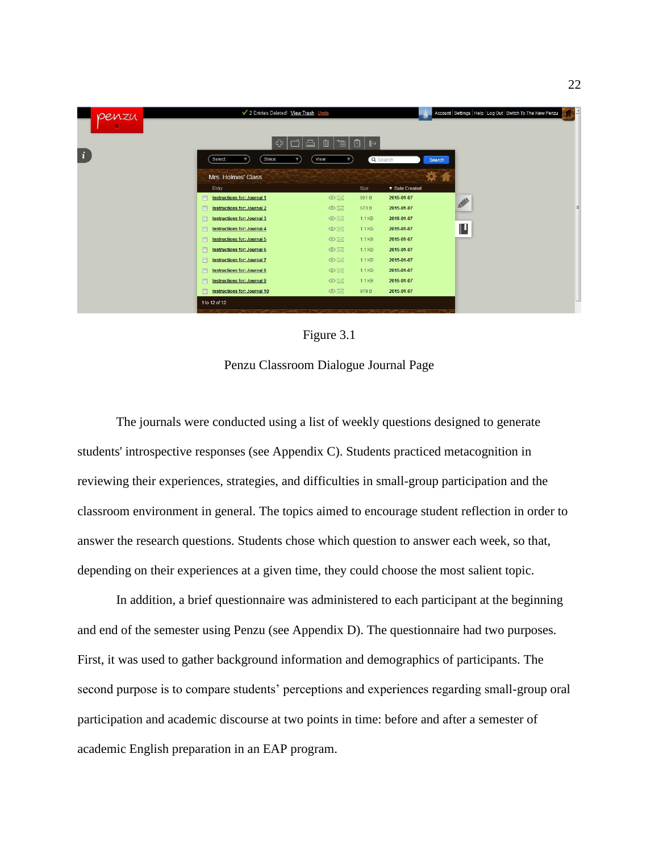



Penzu Classroom Dialogue Journal Page

The journals were conducted using a list of weekly questions designed to generate students' introspective responses (see Appendix C). Students practiced metacognition in reviewing their experiences, strategies, and difficulties in small-group participation and the classroom environment in general. The topics aimed to encourage student reflection in order to answer the research questions. Students chose which question to answer each week, so that, depending on their experiences at a given time, they could choose the most salient topic.

In addition, a brief questionnaire was administered to each participant at the beginning and end of the semester using Penzu (see Appendix D). The questionnaire had two purposes. First, it was used to gather background information and demographics of participants. The second purpose is to compare students' perceptions and experiences regarding small-group oral participation and academic discourse at two points in time: before and after a semester of academic English preparation in an EAP program.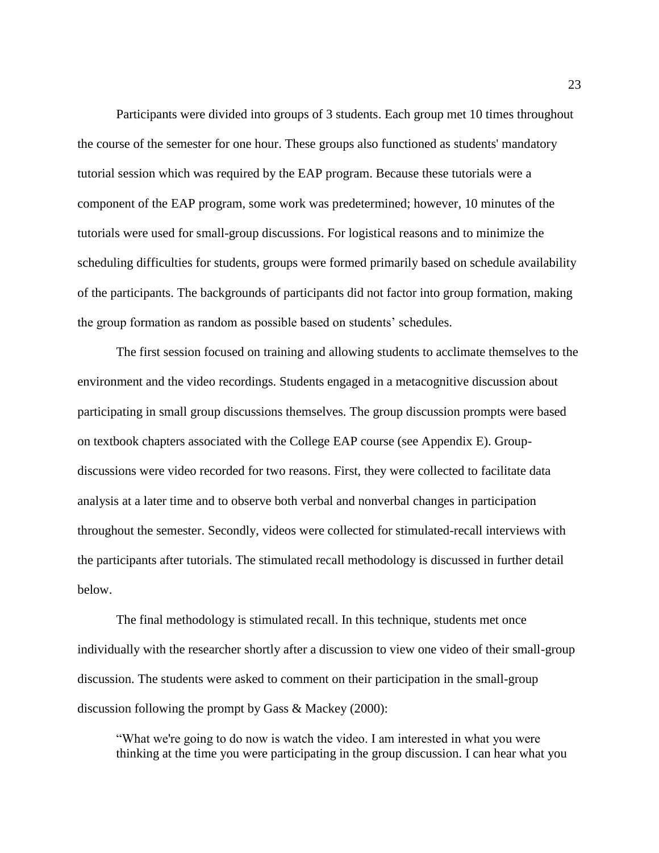Participants were divided into groups of 3 students. Each group met 10 times throughout the course of the semester for one hour. These groups also functioned as students' mandatory tutorial session which was required by the EAP program. Because these tutorials were a component of the EAP program, some work was predetermined; however, 10 minutes of the tutorials were used for small-group discussions. For logistical reasons and to minimize the scheduling difficulties for students, groups were formed primarily based on schedule availability of the participants. The backgrounds of participants did not factor into group formation, making the group formation as random as possible based on students' schedules.

The first session focused on training and allowing students to acclimate themselves to the environment and the video recordings. Students engaged in a metacognitive discussion about participating in small group discussions themselves. The group discussion prompts were based on textbook chapters associated with the College EAP course (see Appendix E). Groupdiscussions were video recorded for two reasons. First, they were collected to facilitate data analysis at a later time and to observe both verbal and nonverbal changes in participation throughout the semester. Secondly, videos were collected for stimulated-recall interviews with the participants after tutorials. The stimulated recall methodology is discussed in further detail below.

The final methodology is stimulated recall. In this technique, students met once individually with the researcher shortly after a discussion to view one video of their small-group discussion. The students were asked to comment on their participation in the small-group discussion following the prompt by Gass & Mackey (2000):

"What we're going to do now is watch the video. I am interested in what you were thinking at the time you were participating in the group discussion. I can hear what you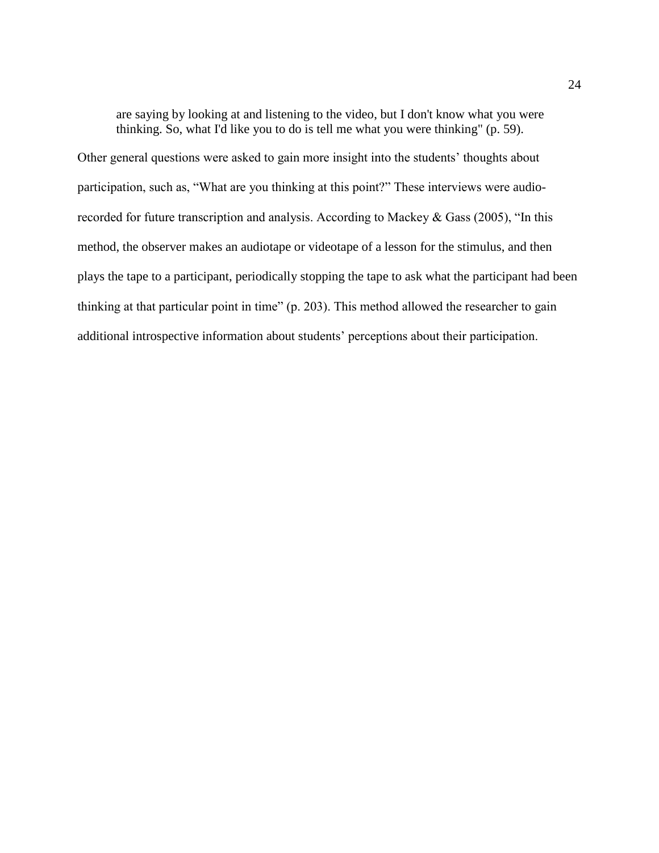are saying by looking at and listening to the video, but I don't know what you were thinking. So, what I'd like you to do is tell me what you were thinking" (p. 59).

Other general questions were asked to gain more insight into the students' thoughts about participation, such as, "What are you thinking at this point?" These interviews were audiorecorded for future transcription and analysis. According to Mackey & Gass (2005), "In this method, the observer makes an audiotape or videotape of a lesson for the stimulus, and then plays the tape to a participant, periodically stopping the tape to ask what the participant had been thinking at that particular point in time" (p. 203). This method allowed the researcher to gain additional introspective information about students' perceptions about their participation.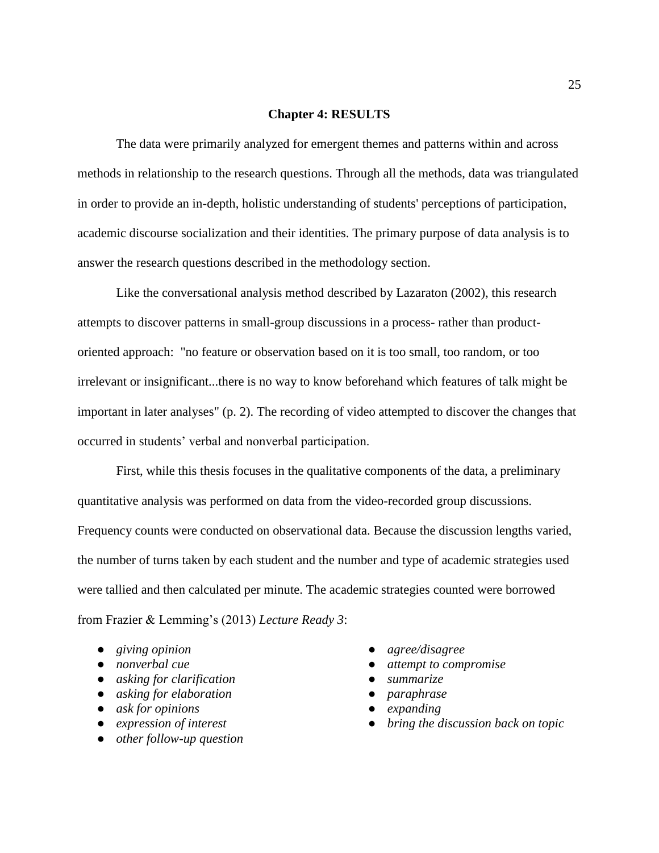#### **Chapter 4: RESULTS**

The data were primarily analyzed for emergent themes and patterns within and across methods in relationship to the research questions. Through all the methods, data was triangulated in order to provide an in-depth, holistic understanding of students' perceptions of participation, academic discourse socialization and their identities. The primary purpose of data analysis is to answer the research questions described in the methodology section.

Like the conversational analysis method described by Lazaraton (2002), this research attempts to discover patterns in small-group discussions in a process- rather than productoriented approach: "no feature or observation based on it is too small, too random, or too irrelevant or insignificant...there is no way to know beforehand which features of talk might be important in later analyses" (p. 2). The recording of video attempted to discover the changes that occurred in students' verbal and nonverbal participation.

First, while this thesis focuses in the qualitative components of the data, a preliminary quantitative analysis was performed on data from the video-recorded group discussions. Frequency counts were conducted on observational data. Because the discussion lengths varied, the number of turns taken by each student and the number and type of academic strategies used were tallied and then calculated per minute. The academic strategies counted were borrowed from Frazier & Lemming's (2013) *Lecture Ready 3*:

- *giving opinion*
- *nonverbal cue*
- *asking for clarification*
- *asking for elaboration*
- *ask for opinions*
- *expression of interest*
- *other follow-up question*
- *agree/disagree*
- *attempt to compromise*
- *summarize*
- *paraphrase*
- *expanding*
- *bring the discussion back on topic*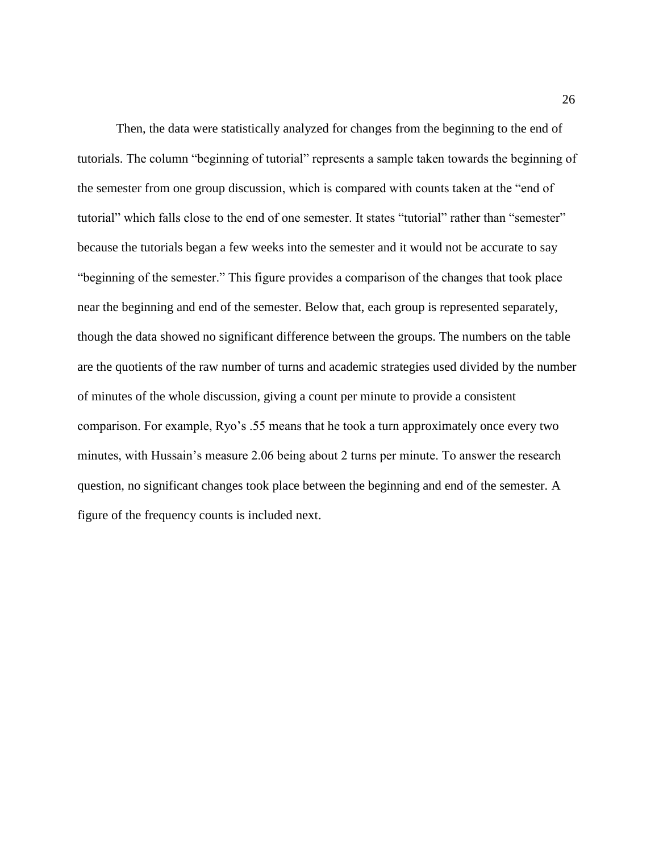Then, the data were statistically analyzed for changes from the beginning to the end of tutorials. The column "beginning of tutorial" represents a sample taken towards the beginning of the semester from one group discussion, which is compared with counts taken at the "end of tutorial" which falls close to the end of one semester. It states "tutorial" rather than "semester" because the tutorials began a few weeks into the semester and it would not be accurate to say "beginning of the semester." This figure provides a comparison of the changes that took place near the beginning and end of the semester. Below that, each group is represented separately, though the data showed no significant difference between the groups. The numbers on the table are the quotients of the raw number of turns and academic strategies used divided by the number of minutes of the whole discussion, giving a count per minute to provide a consistent comparison. For example, Ryo's .55 means that he took a turn approximately once every two minutes, with Hussain's measure 2.06 being about 2 turns per minute. To answer the research question, no significant changes took place between the beginning and end of the semester. A figure of the frequency counts is included next.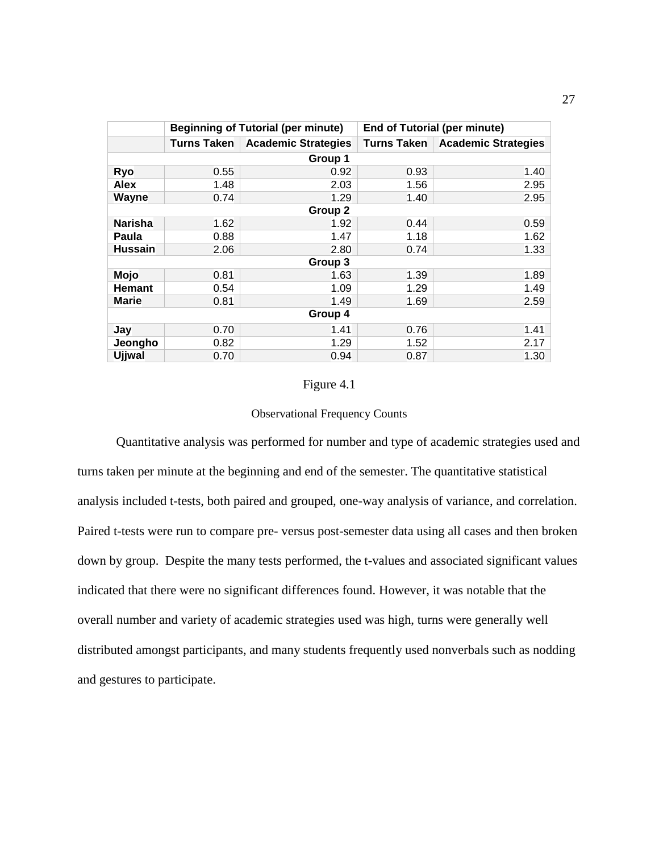|                | <b>Beginning of Tutorial (per minute)</b> |                            | <b>End of Tutorial (per minute)</b> |                            |  |
|----------------|-------------------------------------------|----------------------------|-------------------------------------|----------------------------|--|
|                | Turns Taken                               | <b>Academic Strategies</b> | <b>Turns Taken</b>                  | <b>Academic Strategies</b> |  |
| Group 1        |                                           |                            |                                     |                            |  |
| Ryo            | 0.55                                      | 0.92                       | 0.93                                | 1.40                       |  |
| <b>Alex</b>    | 1.48                                      | 2.03                       | 1.56                                | 2.95                       |  |
| <b>Wayne</b>   | 0.74                                      | 1.29                       | 1.40                                | 2.95                       |  |
| Group 2        |                                           |                            |                                     |                            |  |
| <b>Narisha</b> | 1.62                                      | 1.92                       | 0.44                                | 0.59                       |  |
| Paula          | 0.88                                      | 1.47                       | 1.18                                | 1.62                       |  |
| <b>Hussain</b> | 2.06                                      | 2.80                       | 0.74                                | 1.33                       |  |
| Group 3        |                                           |                            |                                     |                            |  |
| Mojo           | 0.81                                      | 1.63                       | 1.39                                | 1.89                       |  |
| <b>Hemant</b>  | 0.54                                      | 1.09                       | 1.29                                | 1.49                       |  |
| <b>Marie</b>   | 0.81                                      | 1.49                       | 1.69                                | 2.59                       |  |
| Group 4        |                                           |                            |                                     |                            |  |
| Jay            | 0.70                                      | 1.41                       | 0.76                                | 1.41                       |  |
| Jeongho        | 0.82                                      | 1.29                       | 1.52                                | 2.17                       |  |
| <b>Ujjwal</b>  | 0.70                                      | 0.94                       | 0.87                                | 1.30                       |  |

#### Figure 4.1

#### Observational Frequency Counts

Quantitative analysis was performed for number and type of academic strategies used and turns taken per minute at the beginning and end of the semester. The quantitative statistical analysis included t-tests, both paired and grouped, one-way analysis of variance, and correlation. Paired t-tests were run to compare pre- versus post-semester data using all cases and then broken down by group. Despite the many tests performed, the t-values and associated significant values indicated that there were no significant differences found. However, it was notable that the overall number and variety of academic strategies used was high, turns were generally well distributed amongst participants, and many students frequently used nonverbals such as nodding and gestures to participate.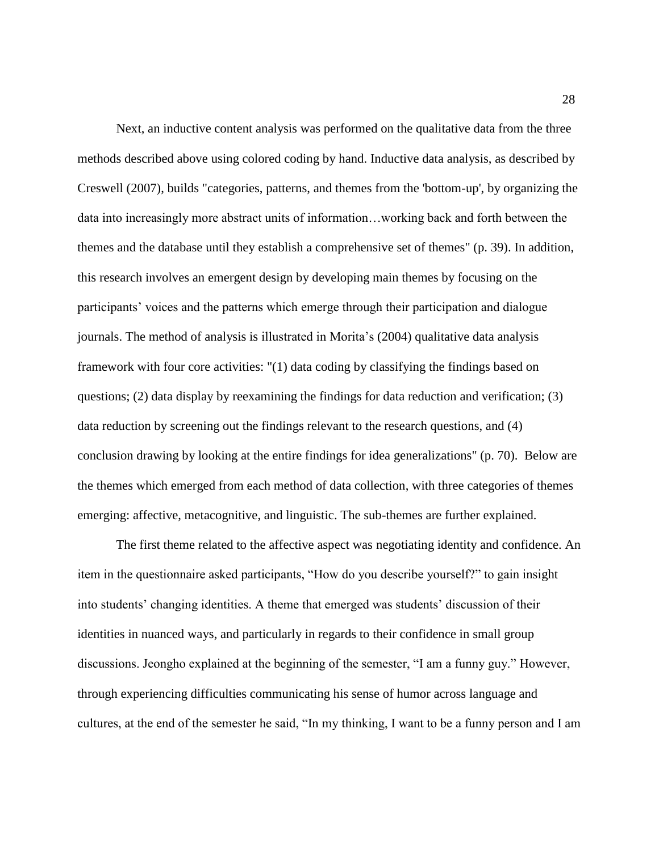Next, an inductive content analysis was performed on the qualitative data from the three methods described above using colored coding by hand. Inductive data analysis, as described by Creswell (2007), builds "categories, patterns, and themes from the 'bottom-up', by organizing the data into increasingly more abstract units of information…working back and forth between the themes and the database until they establish a comprehensive set of themes" (p. 39). In addition, this research involves an emergent design by developing main themes by focusing on the participants' voices and the patterns which emerge through their participation and dialogue journals. The method of analysis is illustrated in Morita's (2004) qualitative data analysis framework with four core activities: "(1) data coding by classifying the findings based on questions; (2) data display by reexamining the findings for data reduction and verification; (3) data reduction by screening out the findings relevant to the research questions, and (4) conclusion drawing by looking at the entire findings for idea generalizations" (p. 70). Below are the themes which emerged from each method of data collection, with three categories of themes emerging: affective, metacognitive, and linguistic. The sub-themes are further explained.

The first theme related to the affective aspect was negotiating identity and confidence. An item in the questionnaire asked participants, "How do you describe yourself?" to gain insight into students' changing identities. A theme that emerged was students' discussion of their identities in nuanced ways, and particularly in regards to their confidence in small group discussions. Jeongho explained at the beginning of the semester, "I am a funny guy." However, through experiencing difficulties communicating his sense of humor across language and cultures, at the end of the semester he said, "In my thinking, I want to be a funny person and I am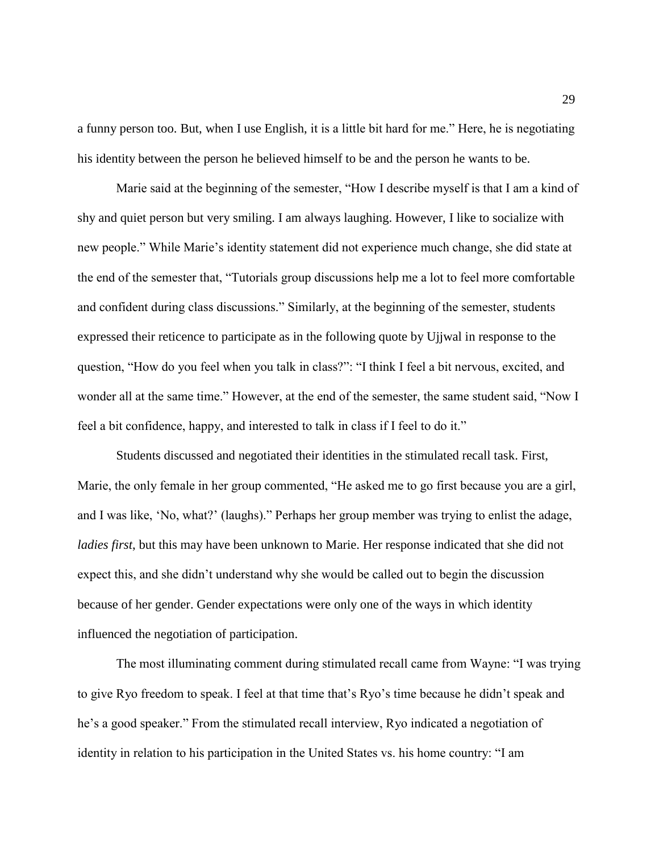a funny person too. But, when I use English, it is a little bit hard for me." Here, he is negotiating his identity between the person he believed himself to be and the person he wants to be.

Marie said at the beginning of the semester, "How I describe myself is that I am a kind of shy and quiet person but very smiling. I am always laughing. However, I like to socialize with new people." While Marie's identity statement did not experience much change, she did state at the end of the semester that, "Tutorials group discussions help me a lot to feel more comfortable and confident during class discussions." Similarly, at the beginning of the semester, students expressed their reticence to participate as in the following quote by Ujjwal in response to the question, "How do you feel when you talk in class?": "I think I feel a bit nervous, excited, and wonder all at the same time." However, at the end of the semester, the same student said, "Now I feel a bit confidence, happy, and interested to talk in class if I feel to do it."

Students discussed and negotiated their identities in the stimulated recall task. First, Marie, the only female in her group commented, "He asked me to go first because you are a girl, and I was like, 'No, what?' (laughs)." Perhaps her group member was trying to enlist the adage, *ladies first*, but this may have been unknown to Marie. Her response indicated that she did not expect this, and she didn't understand why she would be called out to begin the discussion because of her gender. Gender expectations were only one of the ways in which identity influenced the negotiation of participation.

The most illuminating comment during stimulated recall came from Wayne: "I was trying to give Ryo freedom to speak. I feel at that time that's Ryo's time because he didn't speak and he's a good speaker." From the stimulated recall interview, Ryo indicated a negotiation of identity in relation to his participation in the United States vs. his home country: "I am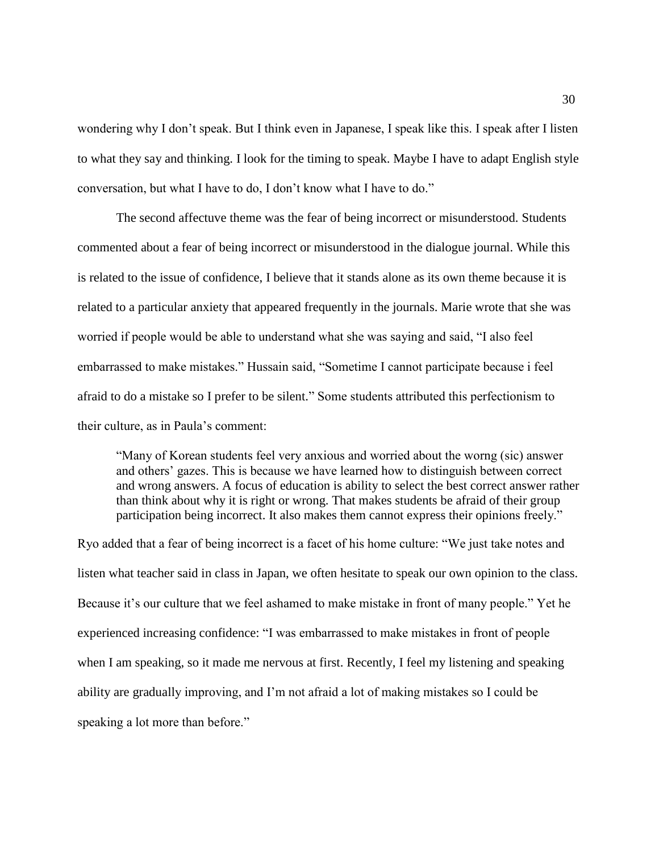wondering why I don't speak. But I think even in Japanese, I speak like this. I speak after I listen to what they say and thinking. I look for the timing to speak. Maybe I have to adapt English style conversation, but what I have to do, I don't know what I have to do."

The second affectuve theme was the fear of being incorrect or misunderstood. Students commented about a fear of being incorrect or misunderstood in the dialogue journal. While this is related to the issue of confidence, I believe that it stands alone as its own theme because it is related to a particular anxiety that appeared frequently in the journals. Marie wrote that she was worried if people would be able to understand what she was saying and said, "I also feel embarrassed to make mistakes." Hussain said, "Sometime I cannot participate because i feel afraid to do a mistake so I prefer to be silent." Some students attributed this perfectionism to their culture, as in Paula's comment:

"Many of Korean students feel very anxious and worried about the worng (sic) answer and others' gazes. This is because we have learned how to distinguish between correct and wrong answers. A focus of education is ability to select the best correct answer rather than think about why it is right or wrong. That makes students be afraid of their group participation being incorrect. It also makes them cannot express their opinions freely."

Ryo added that a fear of being incorrect is a facet of his home culture: "We just take notes and listen what teacher said in class in Japan, we often hesitate to speak our own opinion to the class. Because it's our culture that we feel ashamed to make mistake in front of many people." Yet he experienced increasing confidence: "I was embarrassed to make mistakes in front of people when I am speaking, so it made me nervous at first. Recently, I feel my listening and speaking ability are gradually improving, and I'm not afraid a lot of making mistakes so I could be speaking a lot more than before."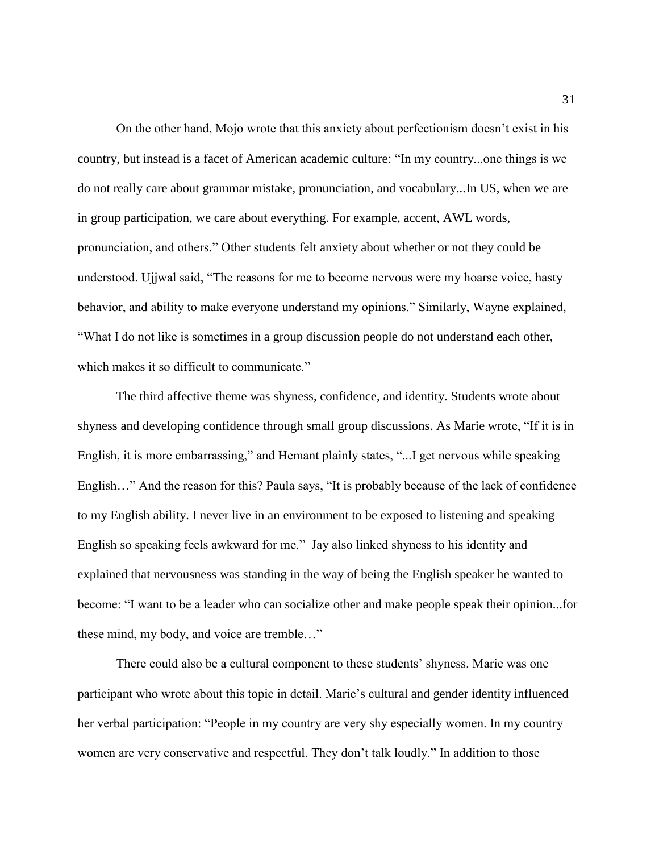On the other hand, Mojo wrote that this anxiety about perfectionism doesn't exist in his country, but instead is a facet of American academic culture: "In my country...one things is we do not really care about grammar mistake, pronunciation, and vocabulary...In US, when we are in group participation, we care about everything. For example, accent, AWL words, pronunciation, and others." Other students felt anxiety about whether or not they could be understood. Ujjwal said, "The reasons for me to become nervous were my hoarse voice, hasty behavior, and ability to make everyone understand my opinions." Similarly, Wayne explained, "What I do not like is sometimes in a group discussion people do not understand each other, which makes it so difficult to communicate."

The third affective theme was shyness, confidence, and identity. Students wrote about shyness and developing confidence through small group discussions. As Marie wrote, "If it is in English, it is more embarrassing," and Hemant plainly states, "...I get nervous while speaking English…" And the reason for this? Paula says, "It is probably because of the lack of confidence to my English ability. I never live in an environment to be exposed to listening and speaking English so speaking feels awkward for me." Jay also linked shyness to his identity and explained that nervousness was standing in the way of being the English speaker he wanted to become: "I want to be a leader who can socialize other and make people speak their opinion...for these mind, my body, and voice are tremble…"

There could also be a cultural component to these students' shyness. Marie was one participant who wrote about this topic in detail. Marie's cultural and gender identity influenced her verbal participation: "People in my country are very shy especially women. In my country women are very conservative and respectful. They don't talk loudly." In addition to those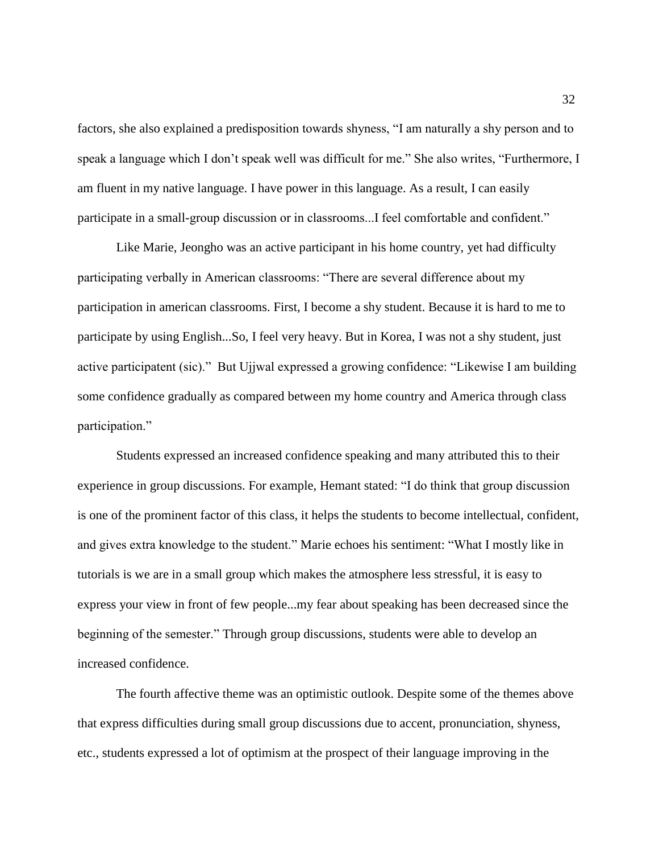factors, she also explained a predisposition towards shyness, "I am naturally a shy person and to speak a language which I don't speak well was difficult for me." She also writes, "Furthermore, I am fluent in my native language. I have power in this language. As a result, I can easily participate in a small-group discussion or in classrooms...I feel comfortable and confident."

Like Marie, Jeongho was an active participant in his home country, yet had difficulty participating verbally in American classrooms: "There are several difference about my participation in american classrooms. First, I become a shy student. Because it is hard to me to participate by using English...So, I feel very heavy. But in Korea, I was not a shy student, just active participatent (sic)." But Ujjwal expressed a growing confidence: "Likewise I am building some confidence gradually as compared between my home country and America through class participation."

Students expressed an increased confidence speaking and many attributed this to their experience in group discussions. For example, Hemant stated: "I do think that group discussion is one of the prominent factor of this class, it helps the students to become intellectual, confident, and gives extra knowledge to the student." Marie echoes his sentiment: "What I mostly like in tutorials is we are in a small group which makes the atmosphere less stressful, it is easy to express your view in front of few people...my fear about speaking has been decreased since the beginning of the semester." Through group discussions, students were able to develop an increased confidence.

The fourth affective theme was an optimistic outlook. Despite some of the themes above that express difficulties during small group discussions due to accent, pronunciation, shyness, etc., students expressed a lot of optimism at the prospect of their language improving in the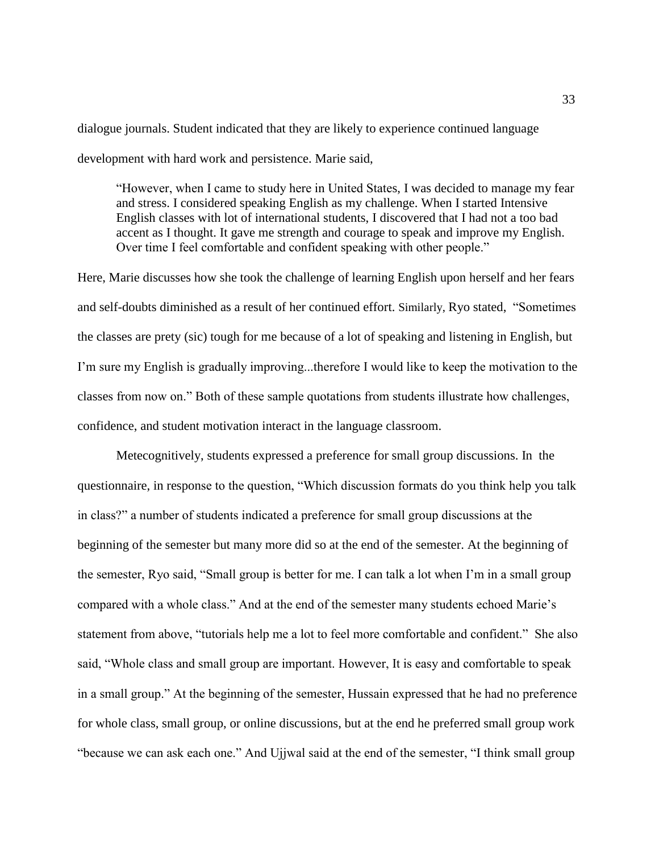dialogue journals. Student indicated that they are likely to experience continued language development with hard work and persistence. Marie said,

"However, when I came to study here in United States, I was decided to manage my fear and stress. I considered speaking English as my challenge. When I started Intensive English classes with lot of international students, I discovered that I had not a too bad accent as I thought. It gave me strength and courage to speak and improve my English. Over time I feel comfortable and confident speaking with other people."

Here, Marie discusses how she took the challenge of learning English upon herself and her fears and self-doubts diminished as a result of her continued effort. Similarly, Ryo stated, "Sometimes the classes are prety (sic) tough for me because of a lot of speaking and listening in English, but I'm sure my English is gradually improving...therefore I would like to keep the motivation to the classes from now on." Both of these sample quotations from students illustrate how challenges, confidence, and student motivation interact in the language classroom.

Metecognitively, students expressed a preference for small group discussions. In the questionnaire, in response to the question, "Which discussion formats do you think help you talk in class?" a number of students indicated a preference for small group discussions at the beginning of the semester but many more did so at the end of the semester. At the beginning of the semester, Ryo said, "Small group is better for me. I can talk a lot when I'm in a small group compared with a whole class." And at the end of the semester many students echoed Marie's statement from above, "tutorials help me a lot to feel more comfortable and confident." She also said, "Whole class and small group are important. However, It is easy and comfortable to speak in a small group." At the beginning of the semester, Hussain expressed that he had no preference for whole class, small group, or online discussions, but at the end he preferred small group work "because we can ask each one." And Ujjwal said at the end of the semester, "I think small group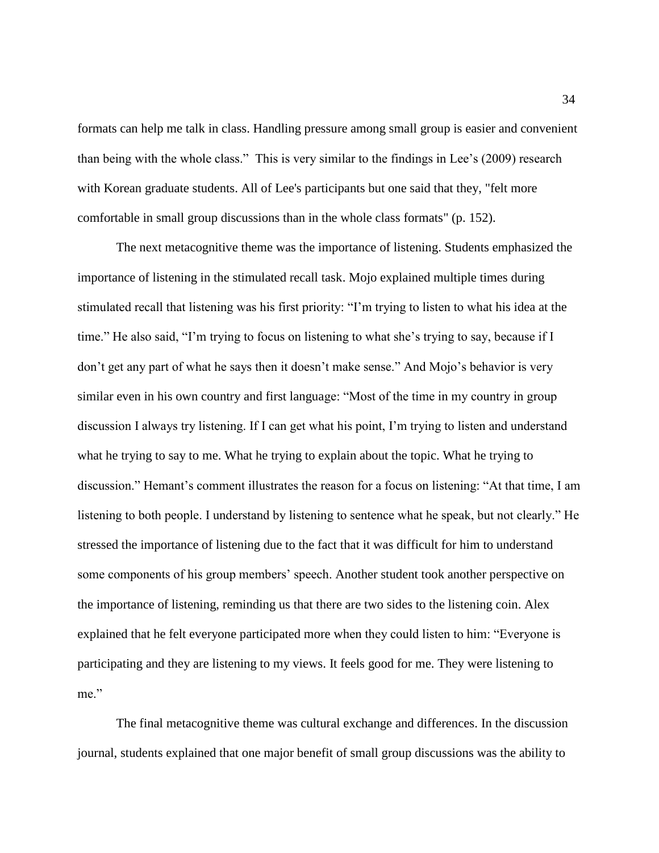formats can help me talk in class. Handling pressure among small group is easier and convenient than being with the whole class." This is very similar to the findings in Lee's (2009) research with Korean graduate students. All of Lee's participants but one said that they, "felt more comfortable in small group discussions than in the whole class formats" (p. 152).

The next metacognitive theme was the importance of listening. Students emphasized the importance of listening in the stimulated recall task. Mojo explained multiple times during stimulated recall that listening was his first priority: "I'm trying to listen to what his idea at the time." He also said, "I'm trying to focus on listening to what she's trying to say, because if I don't get any part of what he says then it doesn't make sense." And Mojo's behavior is very similar even in his own country and first language: "Most of the time in my country in group discussion I always try listening. If I can get what his point, I'm trying to listen and understand what he trying to say to me. What he trying to explain about the topic. What he trying to discussion." Hemant's comment illustrates the reason for a focus on listening: "At that time, I am listening to both people. I understand by listening to sentence what he speak, but not clearly." He stressed the importance of listening due to the fact that it was difficult for him to understand some components of his group members' speech. Another student took another perspective on the importance of listening, reminding us that there are two sides to the listening coin. Alex explained that he felt everyone participated more when they could listen to him: "Everyone is participating and they are listening to my views. It feels good for me. They were listening to me."

The final metacognitive theme was cultural exchange and differences. In the discussion journal, students explained that one major benefit of small group discussions was the ability to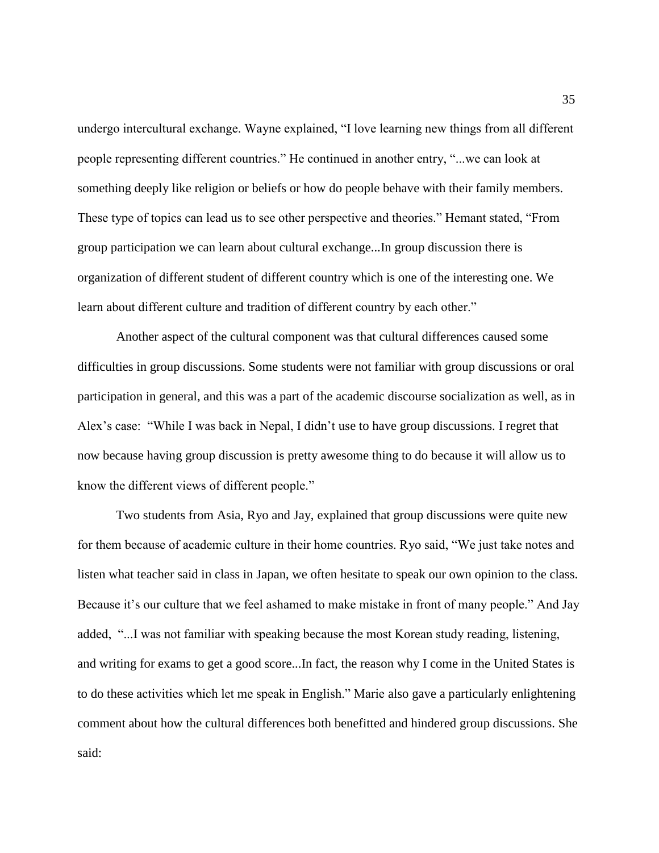undergo intercultural exchange. Wayne explained, "I love learning new things from all different people representing different countries." He continued in another entry, "...we can look at something deeply like religion or beliefs or how do people behave with their family members. These type of topics can lead us to see other perspective and theories." Hemant stated, "From group participation we can learn about cultural exchange...In group discussion there is organization of different student of different country which is one of the interesting one. We learn about different culture and tradition of different country by each other."

Another aspect of the cultural component was that cultural differences caused some difficulties in group discussions. Some students were not familiar with group discussions or oral participation in general, and this was a part of the academic discourse socialization as well, as in Alex's case: "While I was back in Nepal, I didn't use to have group discussions. I regret that now because having group discussion is pretty awesome thing to do because it will allow us to know the different views of different people."

Two students from Asia, Ryo and Jay, explained that group discussions were quite new for them because of academic culture in their home countries. Ryo said, "We just take notes and listen what teacher said in class in Japan, we often hesitate to speak our own opinion to the class. Because it's our culture that we feel ashamed to make mistake in front of many people." And Jay added, "...I was not familiar with speaking because the most Korean study reading, listening, and writing for exams to get a good score...In fact, the reason why I come in the United States is to do these activities which let me speak in English." Marie also gave a particularly enlightening comment about how the cultural differences both benefitted and hindered group discussions. She said: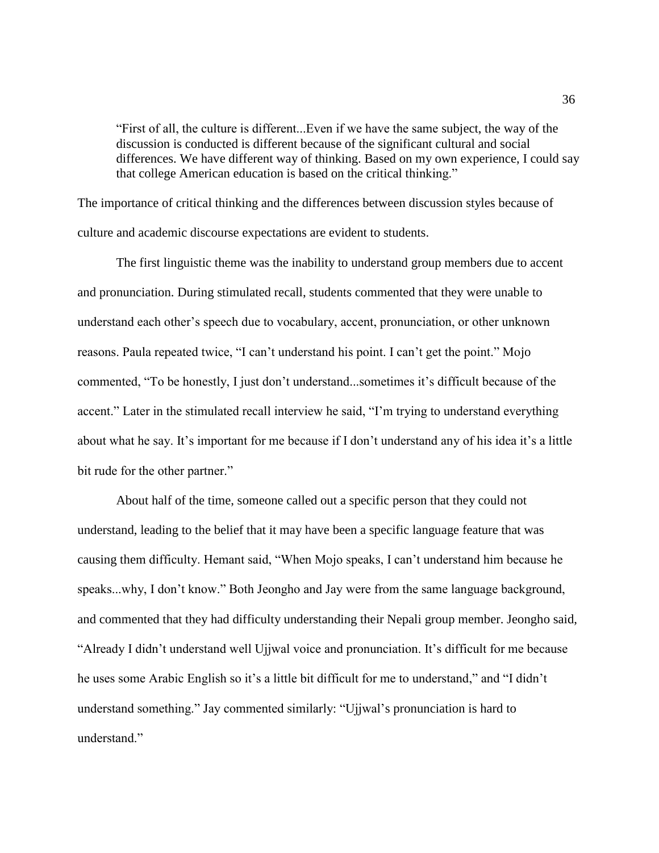"First of all, the culture is different...Even if we have the same subject, the way of the discussion is conducted is different because of the significant cultural and social differences. We have different way of thinking. Based on my own experience, I could say that college American education is based on the critical thinking."

The importance of critical thinking and the differences between discussion styles because of culture and academic discourse expectations are evident to students.

The first linguistic theme was the inability to understand group members due to accent and pronunciation. During stimulated recall, students commented that they were unable to understand each other's speech due to vocabulary, accent, pronunciation, or other unknown reasons. Paula repeated twice, "I can't understand his point. I can't get the point." Mojo commented, "To be honestly, I just don't understand...sometimes it's difficult because of the accent." Later in the stimulated recall interview he said, "I'm trying to understand everything about what he say. It's important for me because if I don't understand any of his idea it's a little bit rude for the other partner."

About half of the time, someone called out a specific person that they could not understand, leading to the belief that it may have been a specific language feature that was causing them difficulty. Hemant said, "When Mojo speaks, I can't understand him because he speaks...why, I don't know." Both Jeongho and Jay were from the same language background, and commented that they had difficulty understanding their Nepali group member. Jeongho said, "Already I didn't understand well Ujjwal voice and pronunciation. It's difficult for me because he uses some Arabic English so it's a little bit difficult for me to understand," and "I didn't understand something." Jay commented similarly: "Ujjwal's pronunciation is hard to understand"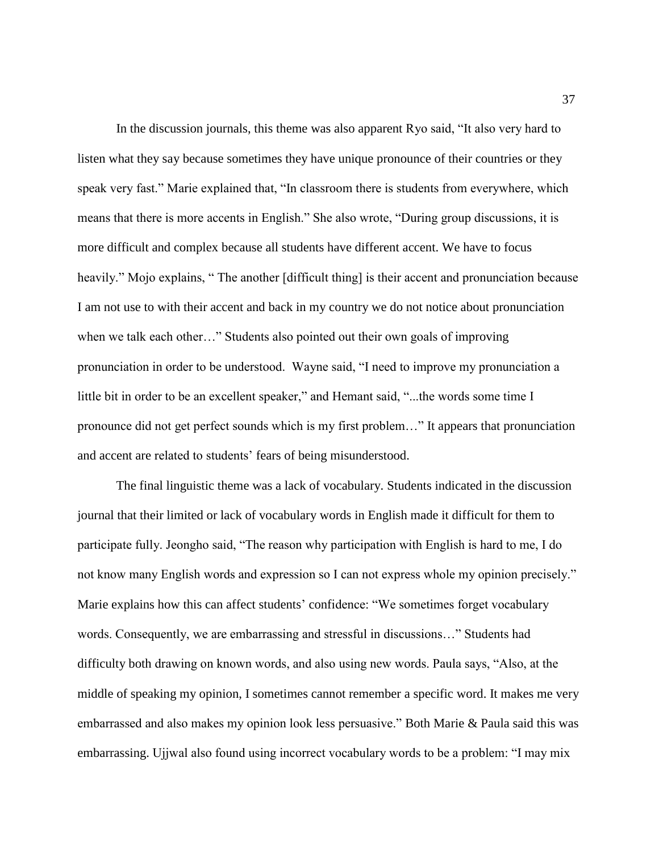In the discussion journals, this theme was also apparent Ryo said, "It also very hard to listen what they say because sometimes they have unique pronounce of their countries or they speak very fast." Marie explained that, "In classroom there is students from everywhere, which means that there is more accents in English." She also wrote, "During group discussions, it is more difficult and complex because all students have different accent. We have to focus heavily." Mojo explains, "The another [difficult thing] is their accent and pronunciation because I am not use to with their accent and back in my country we do not notice about pronunciation when we talk each other…" Students also pointed out their own goals of improving pronunciation in order to be understood. Wayne said, "I need to improve my pronunciation a little bit in order to be an excellent speaker," and Hemant said, "...the words some time I pronounce did not get perfect sounds which is my first problem…" It appears that pronunciation and accent are related to students' fears of being misunderstood.

The final linguistic theme was a lack of vocabulary. Students indicated in the discussion journal that their limited or lack of vocabulary words in English made it difficult for them to participate fully. Jeongho said, "The reason why participation with English is hard to me, I do not know many English words and expression so I can not express whole my opinion precisely." Marie explains how this can affect students' confidence: "We sometimes forget vocabulary words. Consequently, we are embarrassing and stressful in discussions…" Students had difficulty both drawing on known words, and also using new words. Paula says, "Also, at the middle of speaking my opinion, I sometimes cannot remember a specific word. It makes me very embarrassed and also makes my opinion look less persuasive." Both Marie & Paula said this was embarrassing. Ujjwal also found using incorrect vocabulary words to be a problem: "I may mix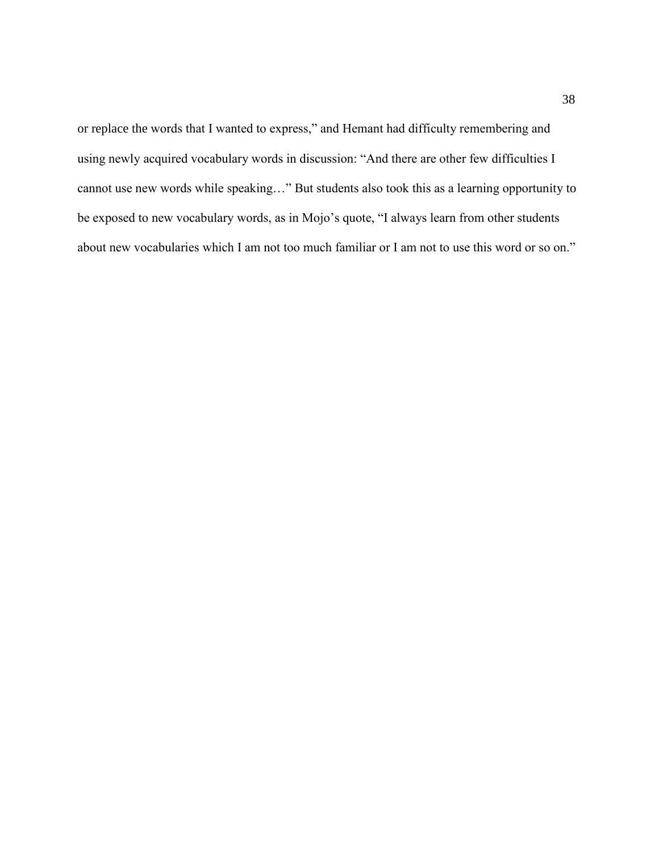or replace the words that I wanted to express," and Hemant had difficulty remembering and using newly acquired vocabulary words in discussion: "And there are other few difficulties I cannot use new words while speaking…" But students also took this as a learning opportunity to be exposed to new vocabulary words, as in Mojo's quote, "I always learn from other students about new vocabularies which I am not too much familiar or I am not to use this word or so on."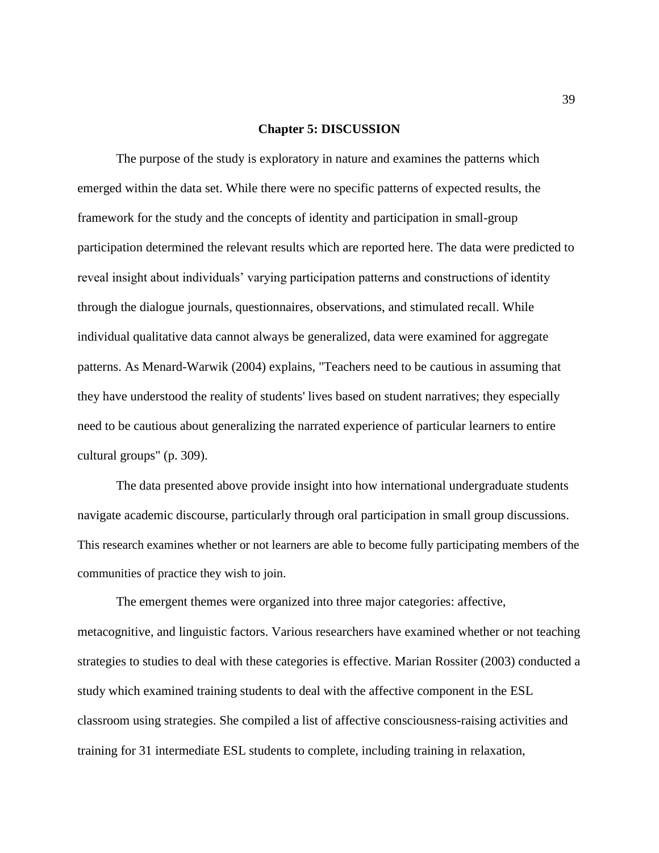#### **Chapter 5: DISCUSSION**

The purpose of the study is exploratory in nature and examines the patterns which emerged within the data set. While there were no specific patterns of expected results, the framework for the study and the concepts of identity and participation in small-group participation determined the relevant results which are reported here. The data were predicted to reveal insight about individuals' varying participation patterns and constructions of identity through the dialogue journals, questionnaires, observations, and stimulated recall. While individual qualitative data cannot always be generalized, data were examined for aggregate patterns. As Menard-Warwik (2004) explains, "Teachers need to be cautious in assuming that they have understood the reality of students' lives based on student narratives; they especially need to be cautious about generalizing the narrated experience of particular learners to entire cultural groups" (p. 309).

The data presented above provide insight into how international undergraduate students navigate academic discourse, particularly through oral participation in small group discussions. This research examines whether or not learners are able to become fully participating members of the communities of practice they wish to join.

The emergent themes were organized into three major categories: affective, metacognitive, and linguistic factors. Various researchers have examined whether or not teaching strategies to studies to deal with these categories is effective. Marian Rossiter (2003) conducted a study which examined training students to deal with the affective component in the ESL classroom using strategies. She compiled a list of affective consciousness-raising activities and training for 31 intermediate ESL students to complete, including training in relaxation,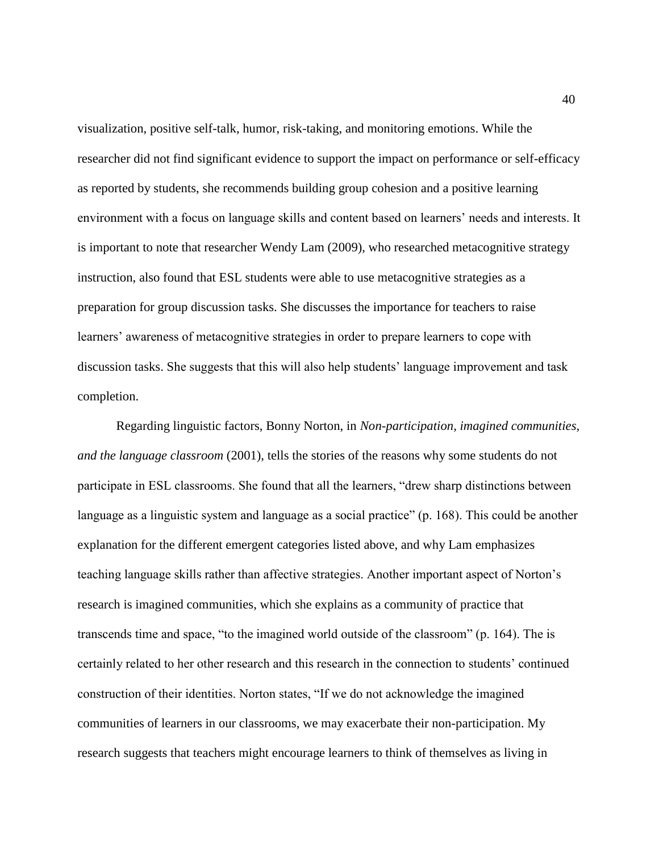visualization, positive self-talk, humor, risk-taking, and monitoring emotions. While the researcher did not find significant evidence to support the impact on performance or self-efficacy as reported by students, she recommends building group cohesion and a positive learning environment with a focus on language skills and content based on learners' needs and interests. It is important to note that researcher Wendy Lam (2009), who researched metacognitive strategy instruction, also found that ESL students were able to use metacognitive strategies as a preparation for group discussion tasks. She discusses the importance for teachers to raise learners' awareness of metacognitive strategies in order to prepare learners to cope with discussion tasks. She suggests that this will also help students' language improvement and task completion.

Regarding linguistic factors, Bonny Norton, in *Non-participation, imagined communities, and the language classroom* (2001), tells the stories of the reasons why some students do not participate in ESL classrooms. She found that all the learners, "drew sharp distinctions between language as a linguistic system and language as a social practice" (p. 168). This could be another explanation for the different emergent categories listed above, and why Lam emphasizes teaching language skills rather than affective strategies. Another important aspect of Norton's research is imagined communities, which she explains as a community of practice that transcends time and space, "to the imagined world outside of the classroom" (p. 164). The is certainly related to her other research and this research in the connection to students' continued construction of their identities. Norton states, "If we do not acknowledge the imagined communities of learners in our classrooms, we may exacerbate their non-participation. My research suggests that teachers might encourage learners to think of themselves as living in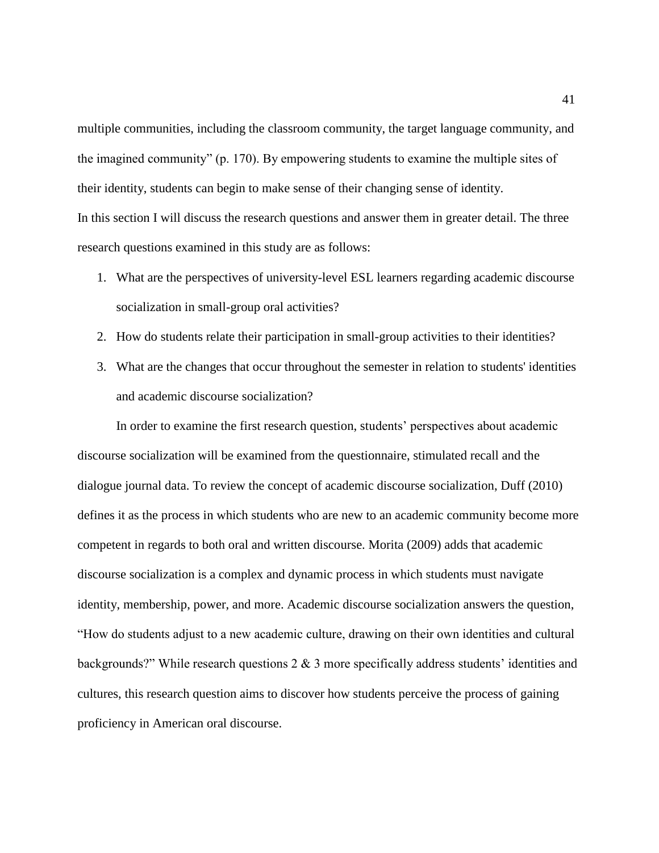multiple communities, including the classroom community, the target language community, and the imagined community" (p. 170). By empowering students to examine the multiple sites of their identity, students can begin to make sense of their changing sense of identity. In this section I will discuss the research questions and answer them in greater detail. The three research questions examined in this study are as follows:

- 1. What are the perspectives of university-level ESL learners regarding academic discourse socialization in small-group oral activities?
- 2. How do students relate their participation in small-group activities to their identities?
- 3. What are the changes that occur throughout the semester in relation to students' identities and academic discourse socialization?

In order to examine the first research question, students' perspectives about academic discourse socialization will be examined from the questionnaire, stimulated recall and the dialogue journal data. To review the concept of academic discourse socialization, Duff (2010) defines it as the process in which students who are new to an academic community become more competent in regards to both oral and written discourse. Morita (2009) adds that academic discourse socialization is a complex and dynamic process in which students must navigate identity, membership, power, and more. Academic discourse socialization answers the question, "How do students adjust to a new academic culture, drawing on their own identities and cultural backgrounds?" While research questions 2 & 3 more specifically address students' identities and cultures, this research question aims to discover how students perceive the process of gaining proficiency in American oral discourse.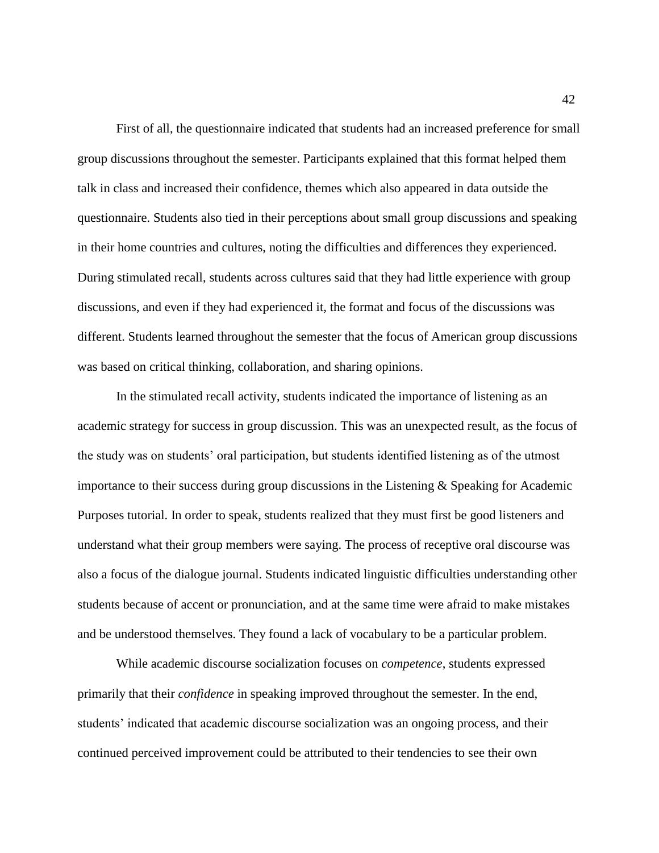First of all, the questionnaire indicated that students had an increased preference for small group discussions throughout the semester. Participants explained that this format helped them talk in class and increased their confidence, themes which also appeared in data outside the questionnaire. Students also tied in their perceptions about small group discussions and speaking in their home countries and cultures, noting the difficulties and differences they experienced. During stimulated recall, students across cultures said that they had little experience with group discussions, and even if they had experienced it, the format and focus of the discussions was different. Students learned throughout the semester that the focus of American group discussions was based on critical thinking, collaboration, and sharing opinions.

In the stimulated recall activity, students indicated the importance of listening as an academic strategy for success in group discussion. This was an unexpected result, as the focus of the study was on students' oral participation, but students identified listening as of the utmost importance to their success during group discussions in the Listening & Speaking for Academic Purposes tutorial. In order to speak, students realized that they must first be good listeners and understand what their group members were saying. The process of receptive oral discourse was also a focus of the dialogue journal. Students indicated linguistic difficulties understanding other students because of accent or pronunciation, and at the same time were afraid to make mistakes and be understood themselves. They found a lack of vocabulary to be a particular problem.

While academic discourse socialization focuses on *competence*, students expressed primarily that their *confidence* in speaking improved throughout the semester. In the end, students' indicated that academic discourse socialization was an ongoing process, and their continued perceived improvement could be attributed to their tendencies to see their own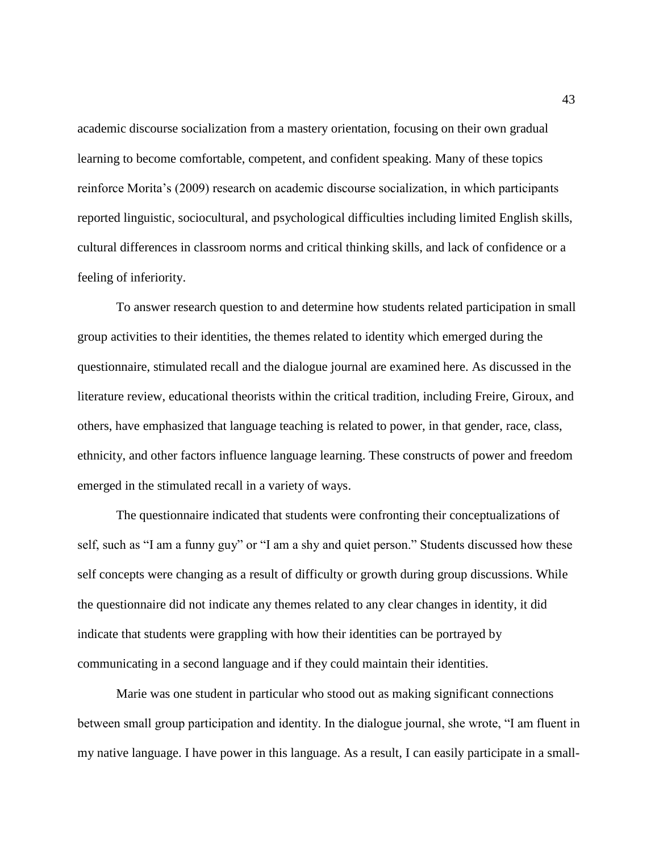academic discourse socialization from a mastery orientation, focusing on their own gradual learning to become comfortable, competent, and confident speaking. Many of these topics reinforce Morita's (2009) research on academic discourse socialization, in which participants reported linguistic, sociocultural, and psychological difficulties including limited English skills, cultural differences in classroom norms and critical thinking skills, and lack of confidence or a feeling of inferiority.

To answer research question to and determine how students related participation in small group activities to their identities, the themes related to identity which emerged during the questionnaire, stimulated recall and the dialogue journal are examined here. As discussed in the literature review, educational theorists within the critical tradition, including Freire, Giroux, and others, have emphasized that language teaching is related to power, in that gender, race, class, ethnicity, and other factors influence language learning. These constructs of power and freedom emerged in the stimulated recall in a variety of ways.

The questionnaire indicated that students were confronting their conceptualizations of self, such as "I am a funny guy" or "I am a shy and quiet person." Students discussed how these self concepts were changing as a result of difficulty or growth during group discussions. While the questionnaire did not indicate any themes related to any clear changes in identity, it did indicate that students were grappling with how their identities can be portrayed by communicating in a second language and if they could maintain their identities.

Marie was one student in particular who stood out as making significant connections between small group participation and identity. In the dialogue journal, she wrote, "I am fluent in my native language. I have power in this language. As a result, I can easily participate in a small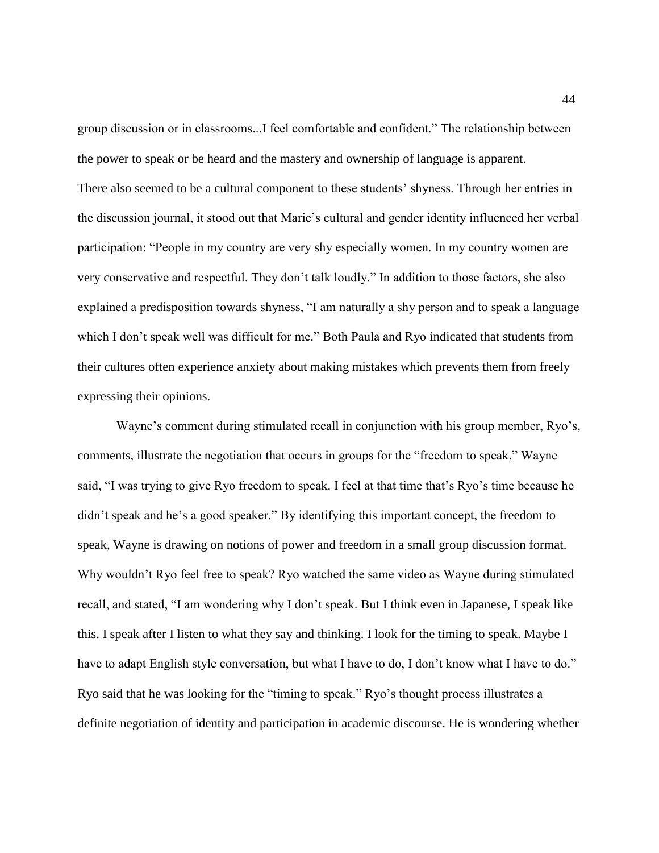group discussion or in classrooms...I feel comfortable and confident." The relationship between the power to speak or be heard and the mastery and ownership of language is apparent. There also seemed to be a cultural component to these students' shyness. Through her entries in the discussion journal, it stood out that Marie's cultural and gender identity influenced her verbal participation: "People in my country are very shy especially women. In my country women are very conservative and respectful. They don't talk loudly." In addition to those factors, she also explained a predisposition towards shyness, "I am naturally a shy person and to speak a language which I don't speak well was difficult for me." Both Paula and Ryo indicated that students from their cultures often experience anxiety about making mistakes which prevents them from freely expressing their opinions.

Wayne's comment during stimulated recall in conjunction with his group member, Ryo's, comments, illustrate the negotiation that occurs in groups for the "freedom to speak," Wayne said, "I was trying to give Ryo freedom to speak. I feel at that time that's Ryo's time because he didn't speak and he's a good speaker." By identifying this important concept, the freedom to speak, Wayne is drawing on notions of power and freedom in a small group discussion format. Why wouldn't Ryo feel free to speak? Ryo watched the same video as Wayne during stimulated recall, and stated, "I am wondering why I don't speak. But I think even in Japanese, I speak like this. I speak after I listen to what they say and thinking. I look for the timing to speak. Maybe I have to adapt English style conversation, but what I have to do, I don't know what I have to do." Ryo said that he was looking for the "timing to speak." Ryo's thought process illustrates a definite negotiation of identity and participation in academic discourse. He is wondering whether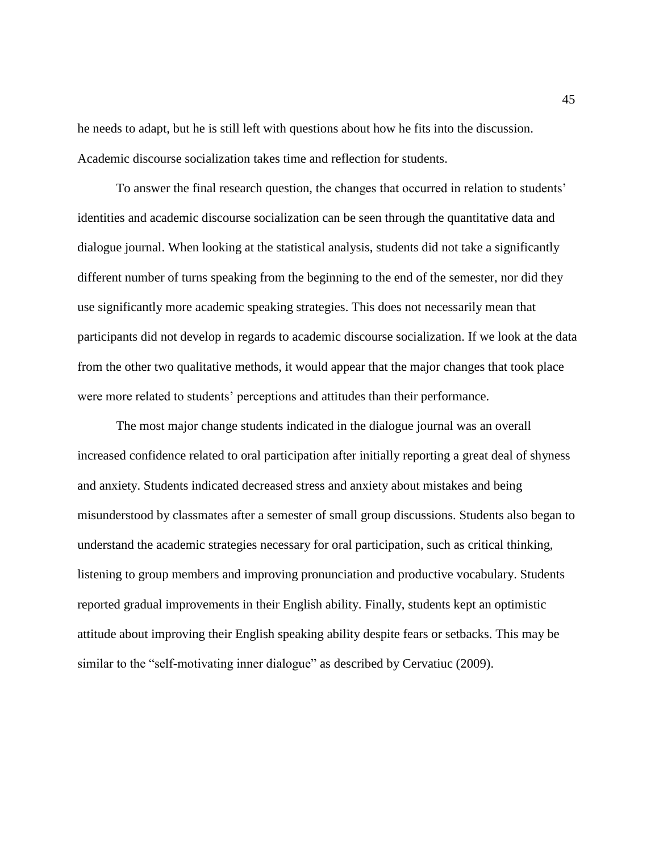he needs to adapt, but he is still left with questions about how he fits into the discussion. Academic discourse socialization takes time and reflection for students.

To answer the final research question, the changes that occurred in relation to students' identities and academic discourse socialization can be seen through the quantitative data and dialogue journal. When looking at the statistical analysis, students did not take a significantly different number of turns speaking from the beginning to the end of the semester, nor did they use significantly more academic speaking strategies. This does not necessarily mean that participants did not develop in regards to academic discourse socialization. If we look at the data from the other two qualitative methods, it would appear that the major changes that took place were more related to students' perceptions and attitudes than their performance.

The most major change students indicated in the dialogue journal was an overall increased confidence related to oral participation after initially reporting a great deal of shyness and anxiety. Students indicated decreased stress and anxiety about mistakes and being misunderstood by classmates after a semester of small group discussions. Students also began to understand the academic strategies necessary for oral participation, such as critical thinking, listening to group members and improving pronunciation and productive vocabulary. Students reported gradual improvements in their English ability. Finally, students kept an optimistic attitude about improving their English speaking ability despite fears or setbacks. This may be similar to the "self-motivating inner dialogue" as described by Cervatiuc (2009).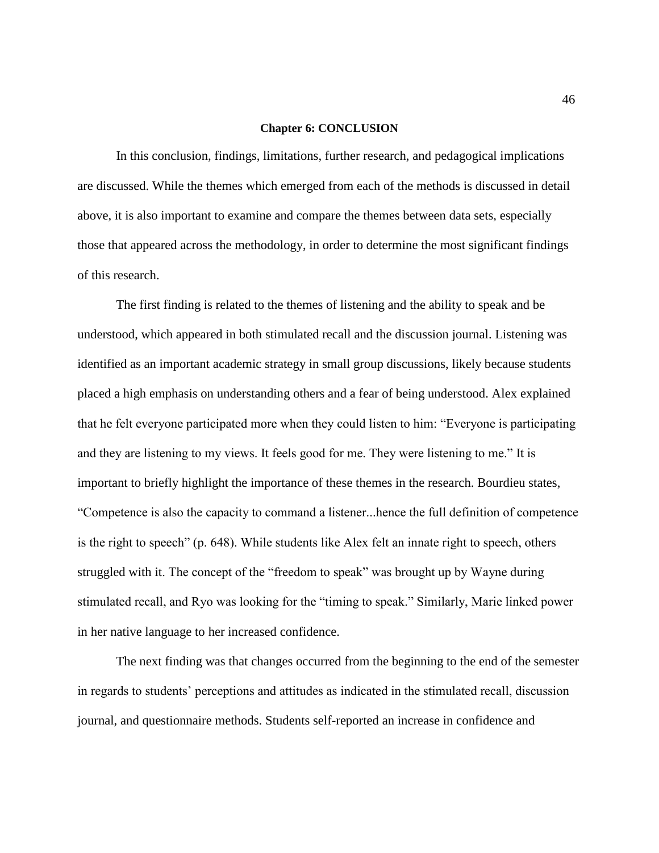#### **Chapter 6: CONCLUSION**

In this conclusion, findings, limitations, further research, and pedagogical implications are discussed. While the themes which emerged from each of the methods is discussed in detail above, it is also important to examine and compare the themes between data sets, especially those that appeared across the methodology, in order to determine the most significant findings of this research.

The first finding is related to the themes of listening and the ability to speak and be understood, which appeared in both stimulated recall and the discussion journal. Listening was identified as an important academic strategy in small group discussions, likely because students placed a high emphasis on understanding others and a fear of being understood. Alex explained that he felt everyone participated more when they could listen to him: "Everyone is participating and they are listening to my views. It feels good for me. They were listening to me." It is important to briefly highlight the importance of these themes in the research. Bourdieu states, "Competence is also the capacity to command a listener...hence the full definition of competence is the right to speech" (p. 648). While students like Alex felt an innate right to speech, others struggled with it. The concept of the "freedom to speak" was brought up by Wayne during stimulated recall, and Ryo was looking for the "timing to speak." Similarly, Marie linked power in her native language to her increased confidence.

The next finding was that changes occurred from the beginning to the end of the semester in regards to students' perceptions and attitudes as indicated in the stimulated recall, discussion journal, and questionnaire methods. Students self-reported an increase in confidence and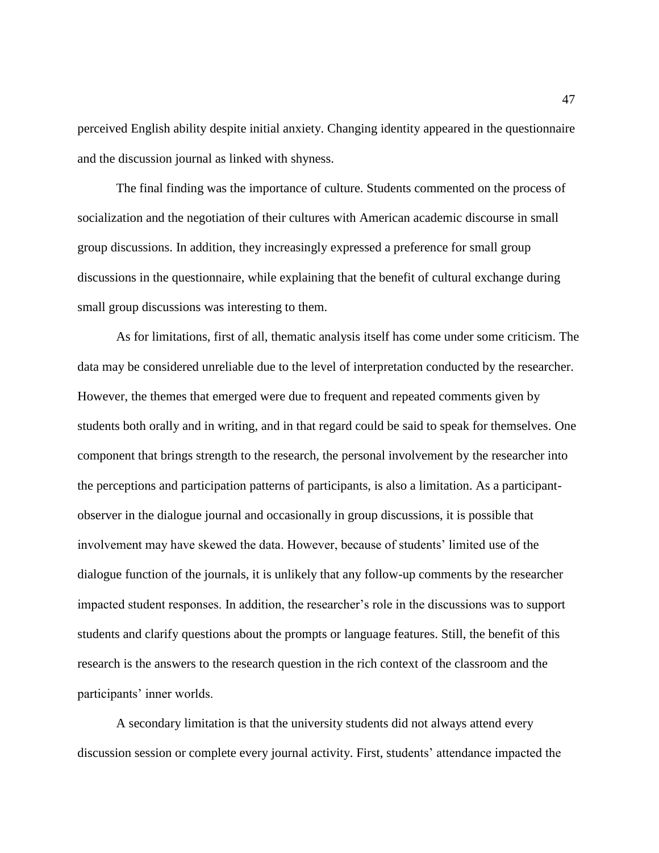perceived English ability despite initial anxiety. Changing identity appeared in the questionnaire and the discussion journal as linked with shyness.

The final finding was the importance of culture. Students commented on the process of socialization and the negotiation of their cultures with American academic discourse in small group discussions. In addition, they increasingly expressed a preference for small group discussions in the questionnaire, while explaining that the benefit of cultural exchange during small group discussions was interesting to them.

As for limitations, first of all, thematic analysis itself has come under some criticism. The data may be considered unreliable due to the level of interpretation conducted by the researcher. However, the themes that emerged were due to frequent and repeated comments given by students both orally and in writing, and in that regard could be said to speak for themselves. One component that brings strength to the research, the personal involvement by the researcher into the perceptions and participation patterns of participants, is also a limitation. As a participantobserver in the dialogue journal and occasionally in group discussions, it is possible that involvement may have skewed the data. However, because of students' limited use of the dialogue function of the journals, it is unlikely that any follow-up comments by the researcher impacted student responses. In addition, the researcher's role in the discussions was to support students and clarify questions about the prompts or language features. Still, the benefit of this research is the answers to the research question in the rich context of the classroom and the participants' inner worlds.

A secondary limitation is that the university students did not always attend every discussion session or complete every journal activity. First, students' attendance impacted the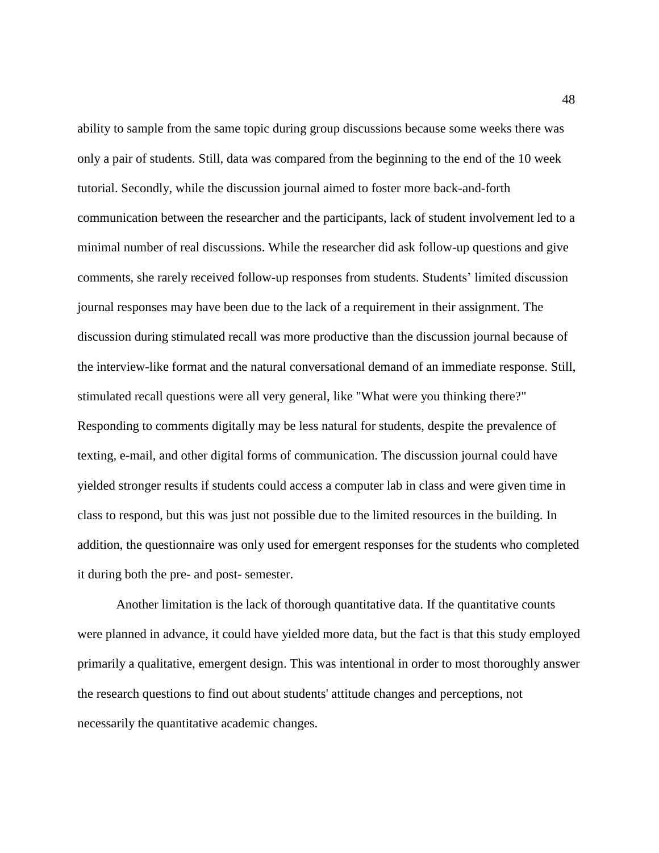ability to sample from the same topic during group discussions because some weeks there was only a pair of students. Still, data was compared from the beginning to the end of the 10 week tutorial. Secondly, while the discussion journal aimed to foster more back-and-forth communication between the researcher and the participants, lack of student involvement led to a minimal number of real discussions. While the researcher did ask follow-up questions and give comments, she rarely received follow-up responses from students. Students' limited discussion journal responses may have been due to the lack of a requirement in their assignment. The discussion during stimulated recall was more productive than the discussion journal because of the interview-like format and the natural conversational demand of an immediate response. Still, stimulated recall questions were all very general, like "What were you thinking there?" Responding to comments digitally may be less natural for students, despite the prevalence of texting, e-mail, and other digital forms of communication. The discussion journal could have yielded stronger results if students could access a computer lab in class and were given time in class to respond, but this was just not possible due to the limited resources in the building. In addition, the questionnaire was only used for emergent responses for the students who completed it during both the pre- and post- semester.

Another limitation is the lack of thorough quantitative data. If the quantitative counts were planned in advance, it could have yielded more data, but the fact is that this study employed primarily a qualitative, emergent design. This was intentional in order to most thoroughly answer the research questions to find out about students' attitude changes and perceptions, not necessarily the quantitative academic changes.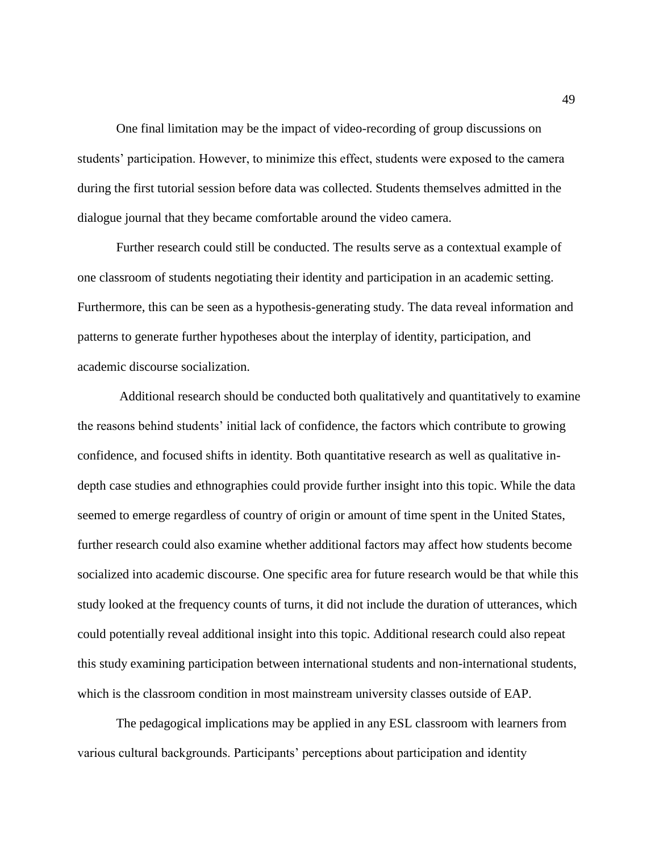One final limitation may be the impact of video-recording of group discussions on students' participation. However, to minimize this effect, students were exposed to the camera during the first tutorial session before data was collected. Students themselves admitted in the dialogue journal that they became comfortable around the video camera.

Further research could still be conducted. The results serve as a contextual example of one classroom of students negotiating their identity and participation in an academic setting. Furthermore, this can be seen as a hypothesis-generating study. The data reveal information and patterns to generate further hypotheses about the interplay of identity, participation, and academic discourse socialization.

Additional research should be conducted both qualitatively and quantitatively to examine the reasons behind students' initial lack of confidence, the factors which contribute to growing confidence, and focused shifts in identity. Both quantitative research as well as qualitative indepth case studies and ethnographies could provide further insight into this topic. While the data seemed to emerge regardless of country of origin or amount of time spent in the United States, further research could also examine whether additional factors may affect how students become socialized into academic discourse. One specific area for future research would be that while this study looked at the frequency counts of turns, it did not include the duration of utterances, which could potentially reveal additional insight into this topic. Additional research could also repeat this study examining participation between international students and non-international students, which is the classroom condition in most mainstream university classes outside of EAP.

The pedagogical implications may be applied in any ESL classroom with learners from various cultural backgrounds. Participants' perceptions about participation and identity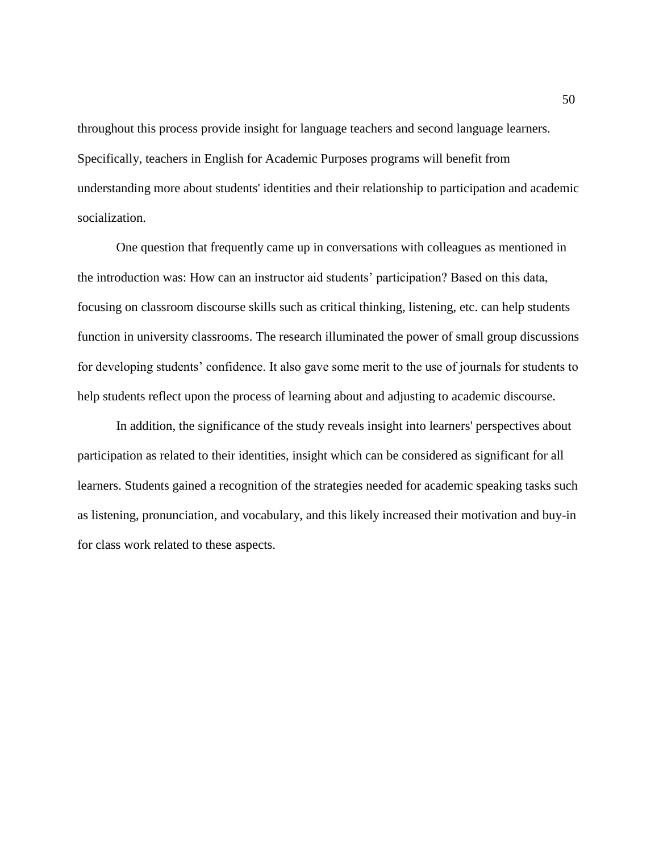throughout this process provide insight for language teachers and second language learners. Specifically, teachers in English for Academic Purposes programs will benefit from understanding more about students' identities and their relationship to participation and academic socialization.

One question that frequently came up in conversations with colleagues as mentioned in the introduction was: How can an instructor aid students' participation? Based on this data, focusing on classroom discourse skills such as critical thinking, listening, etc. can help students function in university classrooms. The research illuminated the power of small group discussions for developing students' confidence. It also gave some merit to the use of journals for students to help students reflect upon the process of learning about and adjusting to academic discourse.

In addition, the significance of the study reveals insight into learners' perspectives about participation as related to their identities, insight which can be considered as significant for all learners. Students gained a recognition of the strategies needed for academic speaking tasks such as listening, pronunciation, and vocabulary, and this likely increased their motivation and buy-in for class work related to these aspects.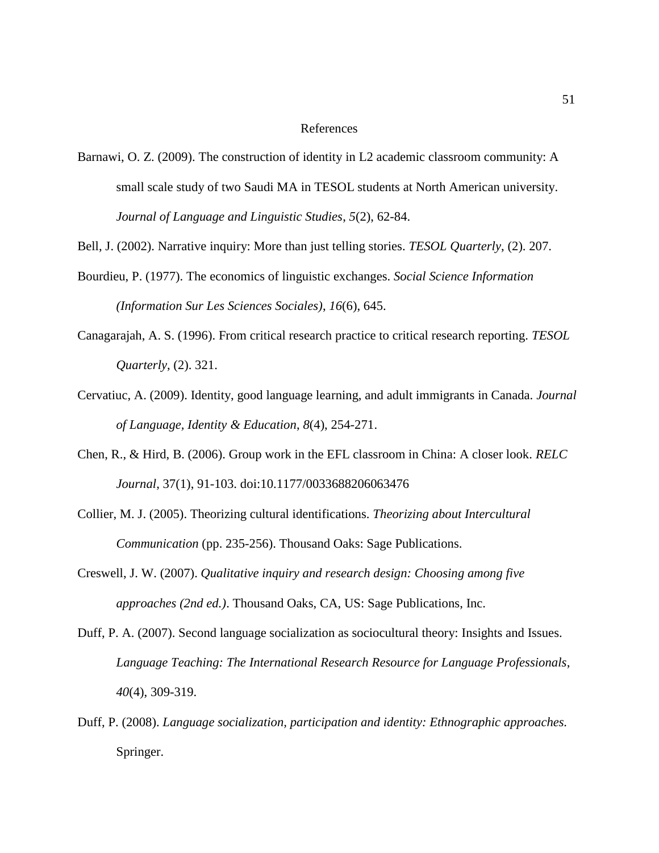#### References

Barnawi, O. Z. (2009). The construction of identity in L2 academic classroom community: A small scale study of two Saudi MA in TESOL students at North American university. *Journal of Language and Linguistic Studies*, *5*(2), 62-84.

Bell, J. (2002). Narrative inquiry: More than just telling stories. *TESOL Quarterly*, (2). 207.

- Bourdieu, P. (1977). The economics of linguistic exchanges. *Social Science Information (Information Sur Les Sciences Sociales)*, *16*(6), 645.
- Canagarajah, A. S. (1996). From critical research practice to critical research reporting. *TESOL Quarterly*, (2). 321.
- Cervatiuc, A. (2009). Identity, good language learning, and adult immigrants in Canada. *Journal of Language, Identity & Education*, *8*(4), 254-271.
- Chen, R., & Hird, B. (2006). Group work in the EFL classroom in China: A closer look. *RELC Journal*, 37(1), 91-103. doi:10.1177/0033688206063476
- Collier, M. J. (2005). Theorizing cultural identifications. *Theorizing about Intercultural Communication* (pp. 235-256). Thousand Oaks: Sage Publications.
- Creswell, J. W. (2007). *Qualitative inquiry and research design: Choosing among five approaches (2nd ed.)*. Thousand Oaks, CA, US: Sage Publications, Inc.
- Duff, P. A. (2007). Second language socialization as sociocultural theory: Insights and Issues. *Language Teaching: The International Research Resource for Language Professionals*, *40*(4), 309-319.
- Duff, P. (2008). *Language socialization, participation and identity: Ethnographic approaches.* Springer.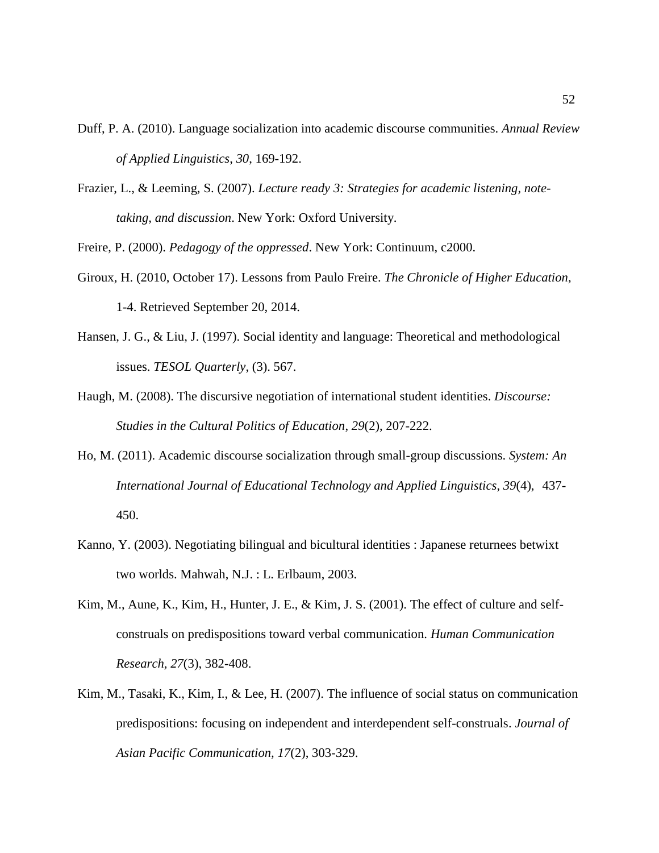- Duff, P. A. (2010). Language socialization into academic discourse communities. *Annual Review of Applied Linguistics*, *30*, 169-192.
- Frazier, L., & Leeming, S. (2007). *Lecture ready 3: Strategies for academic listening, notetaking, and discussion*. New York: Oxford University.

Freire, P. (2000). *Pedagogy of the oppressed*. New York: Continuum, c2000.

- Giroux, H. (2010, October 17). Lessons from Paulo Freire. *The Chronicle of Higher Education*, 1-4. Retrieved September 20, 2014.
- Hansen, J. G., & Liu, J. (1997). Social identity and language: Theoretical and methodological issues. *TESOL Quarterly*, (3). 567.
- Haugh, M. (2008). The discursive negotiation of international student identities. *Discourse: Studies in the Cultural Politics of Education*, *29*(2), 207-222.
- Ho, M. (2011). Academic discourse socialization through small-group discussions. *System: An International Journal of Educational Technology and Applied Linguistics*, *39*(4), 437- 450.
- Kanno, Y. (2003). Negotiating bilingual and bicultural identities : Japanese returnees betwixt two worlds. Mahwah, N.J. : L. Erlbaum, 2003.
- Kim, M., Aune, K., Kim, H., Hunter, J. E., & Kim, J. S. (2001). The effect of culture and selfconstruals on predispositions toward verbal communication. *Human Communication Research, 27*(3), 382-408.
- Kim, M., Tasaki, K., Kim, I., & Lee, H. (2007). The influence of social status on communication predispositions: focusing on independent and interdependent self-construals. *Journal of Asian Pacific Communication, 17*(2), 303-329.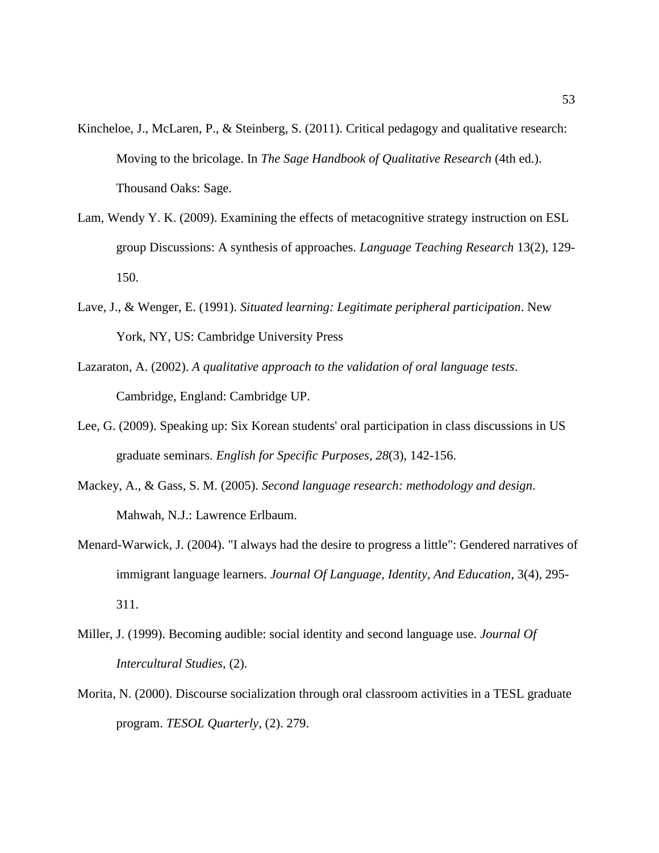- Kincheloe, J., McLaren, P., & Steinberg, S. (2011). Critical pedagogy and qualitative research: Moving to the bricolage. In *The Sage Handbook of Qualitative Research* (4th ed.). Thousand Oaks: Sage.
- Lam, Wendy Y. K. (2009). Examining the effects of metacognitive strategy instruction on ESL group Discussions: A synthesis of approaches. *Language Teaching Research* 13(2), 129- 150.
- Lave, J., & Wenger, E. (1991). *Situated learning: Legitimate peripheral participation*. New York, NY, US: Cambridge University Press
- Lazaraton, A. (2002). *A qualitative approach to the validation of oral language tests*. Cambridge, England: Cambridge UP.
- Lee, G. (2009). Speaking up: Six Korean students' oral participation in class discussions in US graduate seminars. *English for Specific Purposes, 28*(3), 142-156.
- Mackey, A., & Gass, S. M. (2005). *Second language research: methodology and design*. Mahwah, N.J.: Lawrence Erlbaum.
- Menard-Warwick, J. (2004). "I always had the desire to progress a little": Gendered narratives of immigrant language learners. *Journal Of Language, Identity, And Education*, 3(4), 295- 311.
- Miller, J. (1999). Becoming audible: social identity and second language use. *Journal Of Intercultural Studies*, (2).
- Morita, N. (2000). Discourse socialization through oral classroom activities in a TESL graduate program. *TESOL Quarterly*, (2). 279.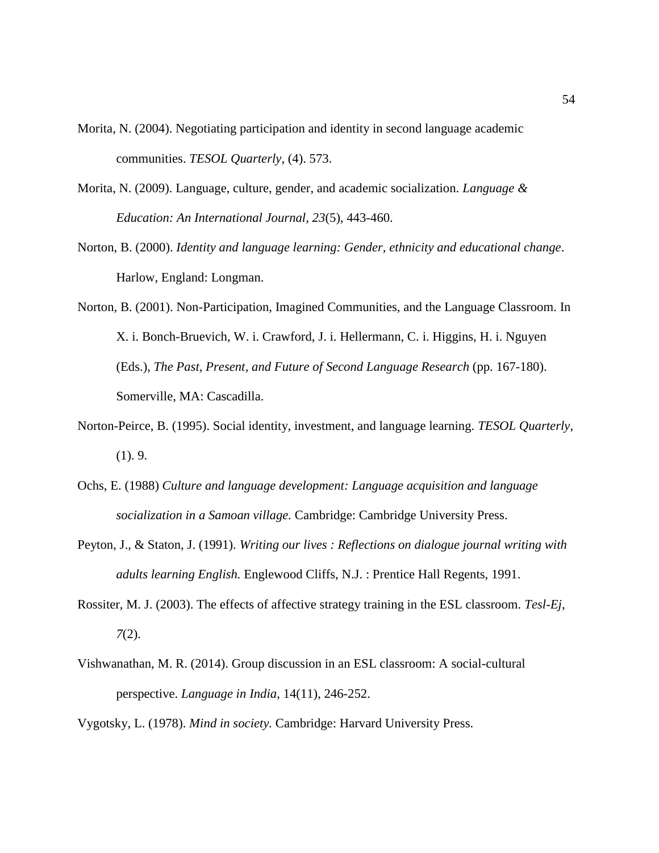- Morita, N. (2004). Negotiating participation and identity in second language academic communities. *TESOL Quarterly*, (4). 573.
- Morita, N. (2009). Language, culture, gender, and academic socialization. *Language & Education: An International Journal, 23*(5), 443-460.
- Norton, B. (2000). *Identity and language learning: Gender, ethnicity and educational change*. Harlow, England: Longman.
- Norton, B. (2001). Non-Participation, Imagined Communities, and the Language Classroom. In X. i. Bonch-Bruevich, W. i. Crawford, J. i. Hellermann, C. i. Higgins, H. i. Nguyen (Eds.), *The Past, Present, and Future of Second Language Research* (pp. 167-180). Somerville, MA: Cascadilla.
- Norton-Peirce, B. (1995). Social identity, investment, and language learning. *TESOL Quarterly*, (1). 9.
- Ochs, E. (1988) *Culture and language development: Language acquisition and language socialization in a Samoan village.* Cambridge: Cambridge University Press.
- Peyton, J., & Staton, J. (1991). *Writing our lives : Reflections on dialogue journal writing with adults learning English.* Englewood Cliffs, N.J. : Prentice Hall Regents, 1991.
- Rossiter, M. J. (2003). The effects of affective strategy training in the ESL classroom. *Tesl-Ej*, *7*(2).
- Vishwanathan, M. R. (2014). Group discussion in an ESL classroom: A social-cultural perspective. *Language in India*, 14(11), 246-252.

Vygotsky, L. (1978). *Mind in society.* Cambridge: Harvard University Press.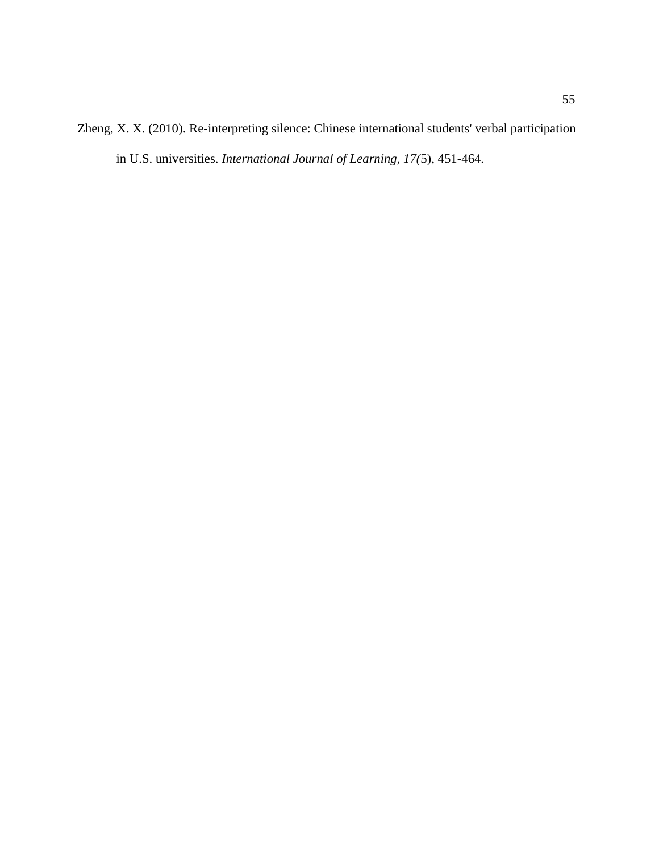Zheng, X. X. (2010). Re-interpreting silence: Chinese international students' verbal participation in U.S. universities. *International Journal of Learning, 17(*5), 451-464.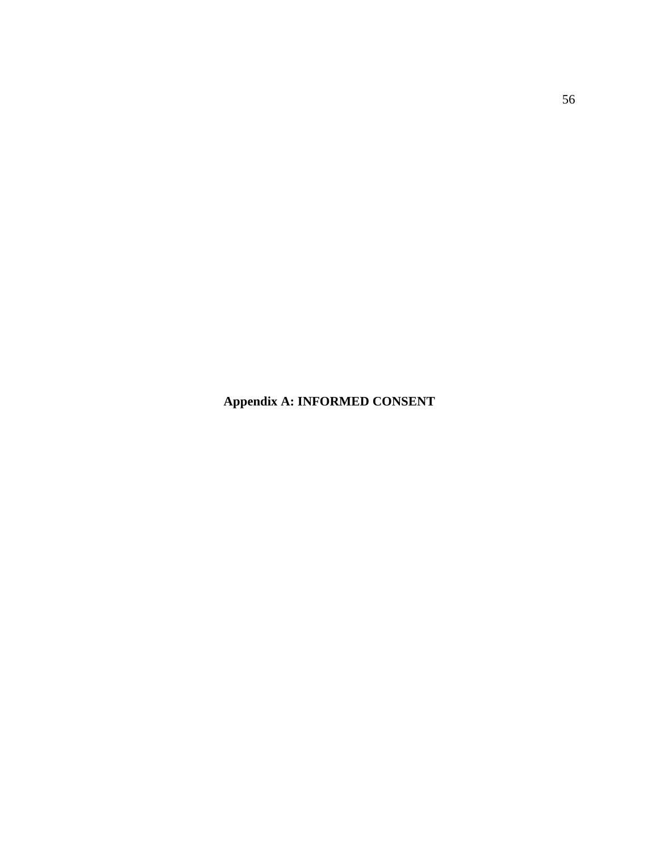**Appendix A: INFORMED CONSENT**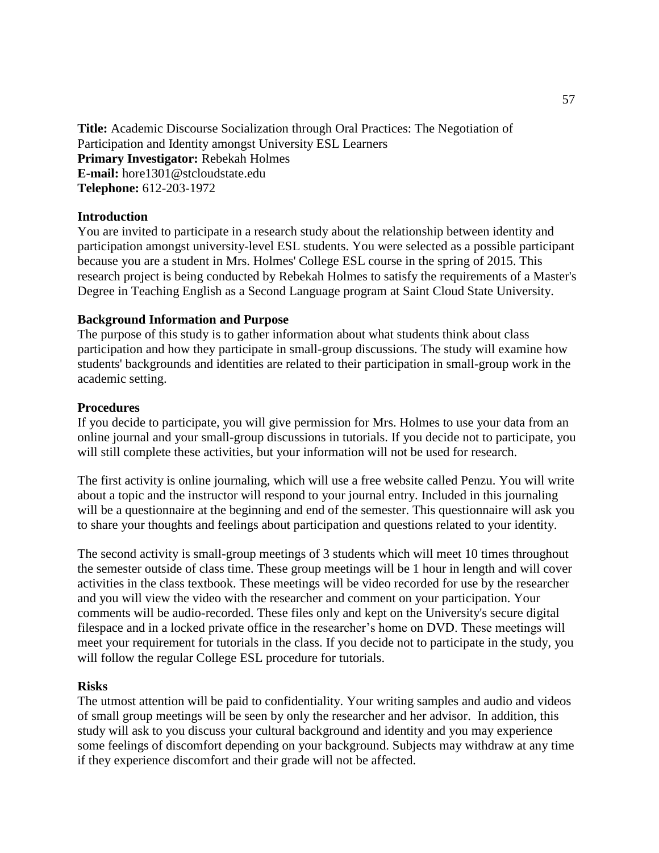**Title:** Academic Discourse Socialization through Oral Practices: The Negotiation of Participation and Identity amongst University ESL Learners **Primary Investigator:** Rebekah Holmes **E-mail:** hore1301@stcloudstate.edu **Telephone:** 612-203-1972

#### **Introduction**

You are invited to participate in a research study about the relationship between identity and participation amongst university-level ESL students. You were selected as a possible participant because you are a student in Mrs. Holmes' College ESL course in the spring of 2015. This research project is being conducted by Rebekah Holmes to satisfy the requirements of a Master's Degree in Teaching English as a Second Language program at Saint Cloud State University.

#### **Background Information and Purpose**

The purpose of this study is to gather information about what students think about class participation and how they participate in small-group discussions. The study will examine how students' backgrounds and identities are related to their participation in small-group work in the academic setting.

#### **Procedures**

If you decide to participate, you will give permission for Mrs. Holmes to use your data from an online journal and your small-group discussions in tutorials. If you decide not to participate, you will still complete these activities, but your information will not be used for research.

The first activity is online journaling, which will use a free website called Penzu. You will write about a topic and the instructor will respond to your journal entry. Included in this journaling will be a questionnaire at the beginning and end of the semester. This questionnaire will ask you to share your thoughts and feelings about participation and questions related to your identity.

The second activity is small-group meetings of 3 students which will meet 10 times throughout the semester outside of class time. These group meetings will be 1 hour in length and will cover activities in the class textbook. These meetings will be video recorded for use by the researcher and you will view the video with the researcher and comment on your participation. Your comments will be audio-recorded. These files only and kept on the University's secure digital filespace and in a locked private office in the researcher's home on DVD. These meetings will meet your requirement for tutorials in the class. If you decide not to participate in the study, you will follow the regular College ESL procedure for tutorials.

#### **Risks**

The utmost attention will be paid to confidentiality. Your writing samples and audio and videos of small group meetings will be seen by only the researcher and her advisor. In addition, this study will ask to you discuss your cultural background and identity and you may experience some feelings of discomfort depending on your background. Subjects may withdraw at any time if they experience discomfort and their grade will not be affected.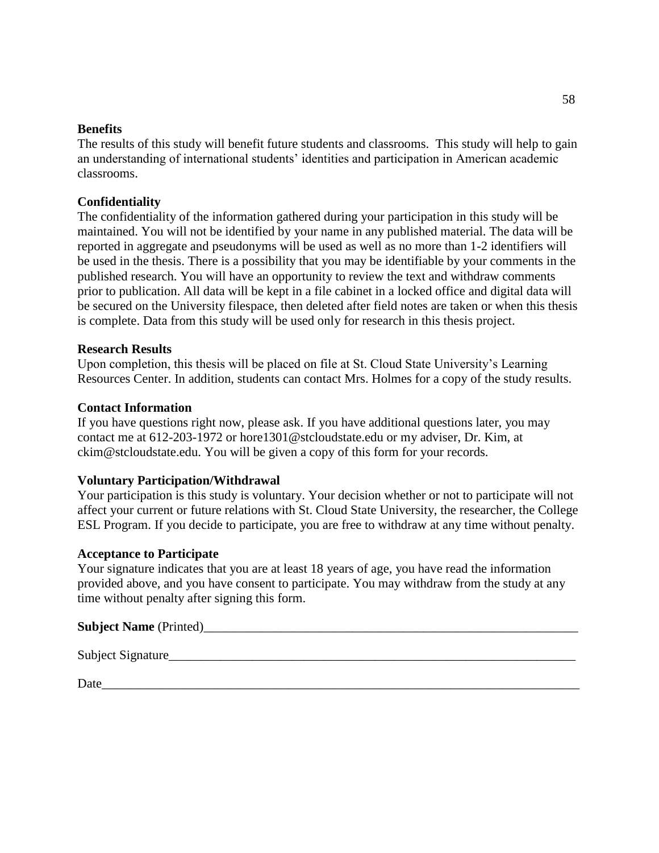#### **Benefits**

The results of this study will benefit future students and classrooms. This study will help to gain an understanding of international students' identities and participation in American academic classrooms.

## **Confidentiality**

The confidentiality of the information gathered during your participation in this study will be maintained. You will not be identified by your name in any published material. The data will be reported in aggregate and pseudonyms will be used as well as no more than 1-2 identifiers will be used in the thesis. There is a possibility that you may be identifiable by your comments in the published research. You will have an opportunity to review the text and withdraw comments prior to publication. All data will be kept in a file cabinet in a locked office and digital data will be secured on the University filespace, then deleted after field notes are taken or when this thesis is complete. Data from this study will be used only for research in this thesis project.

#### **Research Results**

Upon completion, this thesis will be placed on file at St. Cloud State University's Learning Resources Center. In addition, students can contact Mrs. Holmes for a copy of the study results.

### **Contact Information**

If you have questions right now, please ask. If you have additional questions later, you may contact me at 612-203-1972 or hore1301@stcloudstate.edu or my adviser, Dr. Kim, at ckim@stcloudstate.edu. You will be given a copy of this form for your records.

#### **Voluntary Participation/Withdrawal**

Your participation is this study is voluntary. Your decision whether or not to participate will not affect your current or future relations with St. Cloud State University, the researcher, the College ESL Program. If you decide to participate, you are free to withdraw at any time without penalty.

#### **Acceptance to Participate**

Your signature indicates that you are at least 18 years of age, you have read the information provided above, and you have consent to participate. You may withdraw from the study at any time without penalty after signing this form.

#### **Subject Name** (Printed)\_\_\_\_\_\_\_\_\_\_\_\_\_\_\_\_\_\_\_\_\_\_\_\_\_\_\_\_\_\_\_\_\_\_\_\_\_\_\_\_\_\_\_\_\_\_\_\_\_\_\_\_\_\_\_\_\_\_

Subject Signature

Date\_\_\_\_\_\_\_\_\_\_\_\_\_\_\_\_\_\_\_\_\_\_\_\_\_\_\_\_\_\_\_\_\_\_\_\_\_\_\_\_\_\_\_\_\_\_\_\_\_\_\_\_\_\_\_\_\_\_\_\_\_\_\_\_\_\_\_\_\_\_\_\_\_\_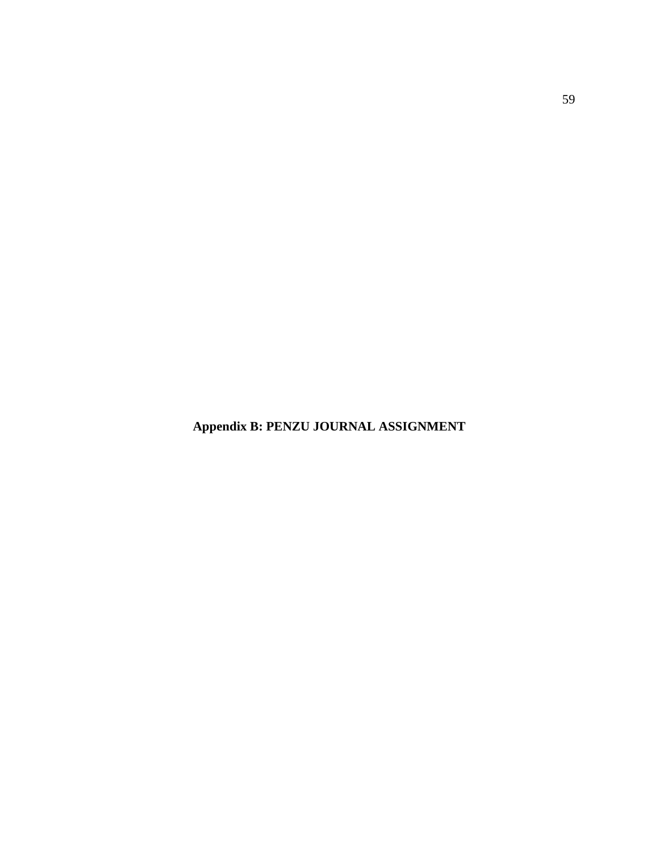**Appendix B: PENZU JOURNAL ASSIGNMENT**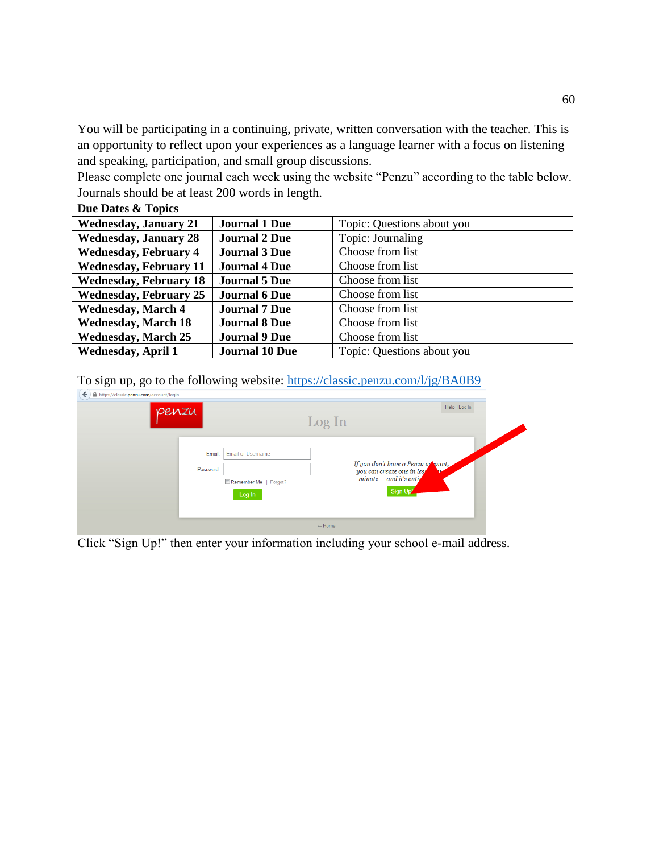You will be participating in a continuing, private, written conversation with the teacher. This is an opportunity to reflect upon your experiences as a language learner with a focus on listening and speaking, participation, and small group discussions.

Please complete one journal each week using the website "Penzu" according to the table below. Journals should be at least 200 words in length.

| <b>Wednesday, January 21</b>  | <b>Journal 1 Due</b>  | Topic: Questions about you |
|-------------------------------|-----------------------|----------------------------|
| <b>Wednesday, January 28</b>  | <b>Journal 2 Due</b>  | Topic: Journaling          |
| <b>Wednesday, February 4</b>  | <b>Journal 3 Due</b>  | Choose from list           |
| <b>Wednesday, February 11</b> | <b>Journal 4 Due</b>  | Choose from list           |
| <b>Wednesday, February 18</b> | <b>Journal 5 Due</b>  | Choose from list           |
| <b>Wednesday, February 25</b> | <b>Journal 6 Due</b>  | Choose from list           |
| <b>Wednesday, March 4</b>     | <b>Journal 7 Due</b>  | Choose from list           |
| <b>Wednesday, March 18</b>    | <b>Journal 8 Due</b>  | Choose from list           |
| <b>Wednesday, March 25</b>    | <b>Journal 9 Due</b>  | Choose from list           |
| <b>Wednesday, April 1</b>     | <b>Journal 10 Due</b> | Topic: Questions about you |

## **Due Dates & Topics**

To sign up, go to the following website:<https://classic.penzu.com/l/jg/BA0B9>

| penzu               |                                                             | Help   Log In<br>Log In                                                      |
|---------------------|-------------------------------------------------------------|------------------------------------------------------------------------------|
| Email:<br>Password: | <b>Email or Username</b><br>Remember Me   Forgot?<br>Log In | If you don't have a Penzu at Jount,<br>$minute - and it's entity$<br>Sign Up |
|                     |                                                             | $\leftarrow$ Home                                                            |

Click "Sign Up!" then enter your information including your school e-mail address.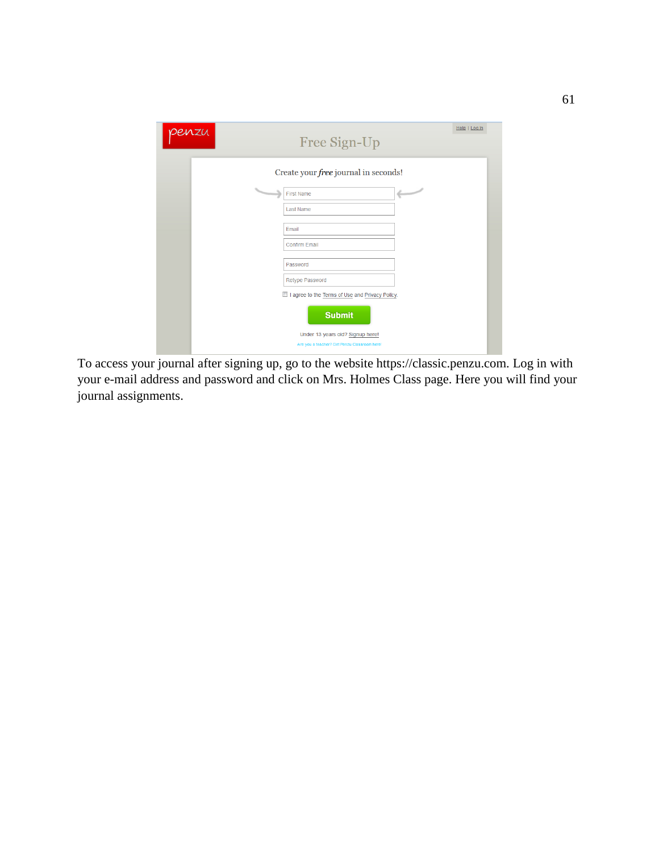| penzu | Free Sign-Up                                                                     | Help   Log In |
|-------|----------------------------------------------------------------------------------|---------------|
|       | Create your free journal in seconds!                                             |               |
|       | $\overline{\phantom{a}}$<br>$\overline{\phantom{a}}$<br>A<br><b>First Name</b>   |               |
|       | Last Name<br>Email                                                               |               |
|       | <b>Confirm Email</b>                                                             |               |
|       | Password                                                                         |               |
|       | Retype Password<br>Il I agree to the Terms of Use and Privacy Policy.            |               |
|       | <b>Submit</b>                                                                    |               |
|       | Under 13 years old? Signup here!<br>Are you a teacher? Get Penzu Classroom here! |               |

To access your journal after signing up, go to the website https://classic.penzu.com. Log in with your e-mail address and password and click on Mrs. Holmes Class page. Here you will find your journal assignments.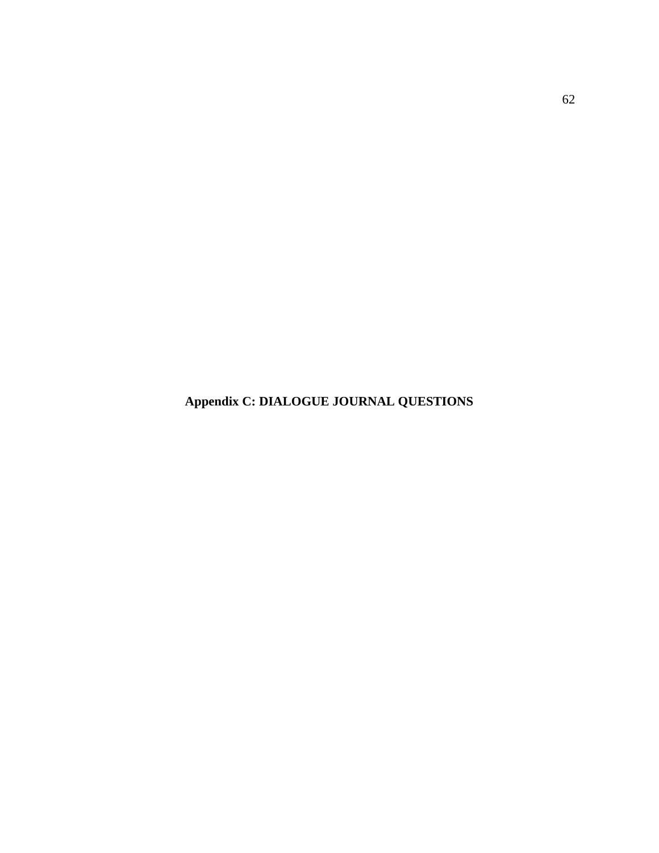**Appendix C: DIALOGUE JOURNAL QUESTIONS**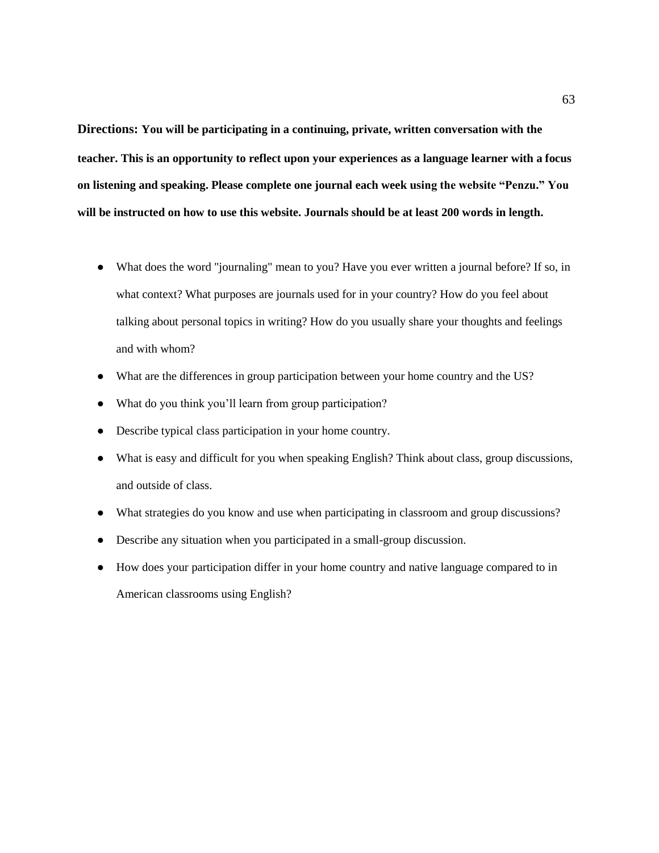**Directions: You will be participating in a continuing, private, written conversation with the teacher. This is an opportunity to reflect upon your experiences as a language learner with a focus on listening and speaking. Please complete one journal each week using the website "Penzu." You will be instructed on how to use this website. Journals should be at least 200 words in length.**

- What does the word "journaling" mean to you? Have you ever written a journal before? If so, in what context? What purposes are journals used for in your country? How do you feel about talking about personal topics in writing? How do you usually share your thoughts and feelings and with whom?
- What are the differences in group participation between your home country and the US?
- What do you think you'll learn from group participation?
- Describe typical class participation in your home country.
- What is easy and difficult for you when speaking English? Think about class, group discussions, and outside of class.
- What strategies do you know and use when participating in classroom and group discussions?
- Describe any situation when you participated in a small-group discussion.
- How does your participation differ in your home country and native language compared to in American classrooms using English?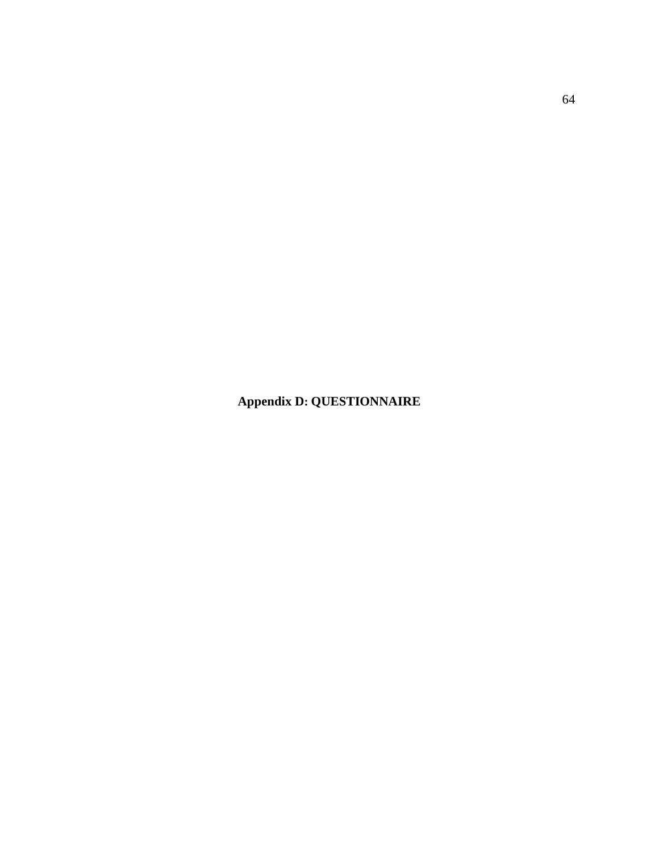**Appendix D: QUESTIONNAIRE**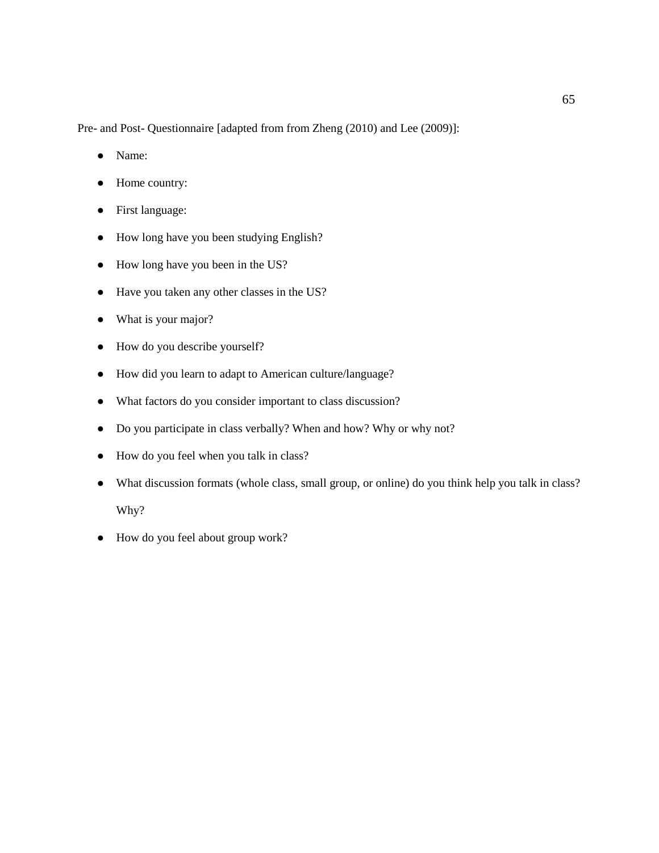Pre- and Post- Questionnaire [adapted from from Zheng (2010) and Lee (2009)]:

- Name:
- Home country:
- First language:
- How long have you been studying English?
- How long have you been in the US?
- Have you taken any other classes in the US?
- What is your major?
- How do you describe yourself?
- How did you learn to adapt to American culture/language?
- What factors do you consider important to class discussion?
- Do you participate in class verbally? When and how? Why or why not?
- How do you feel when you talk in class?
- What discussion formats (whole class, small group, or online) do you think help you talk in class? Why?
- How do you feel about group work?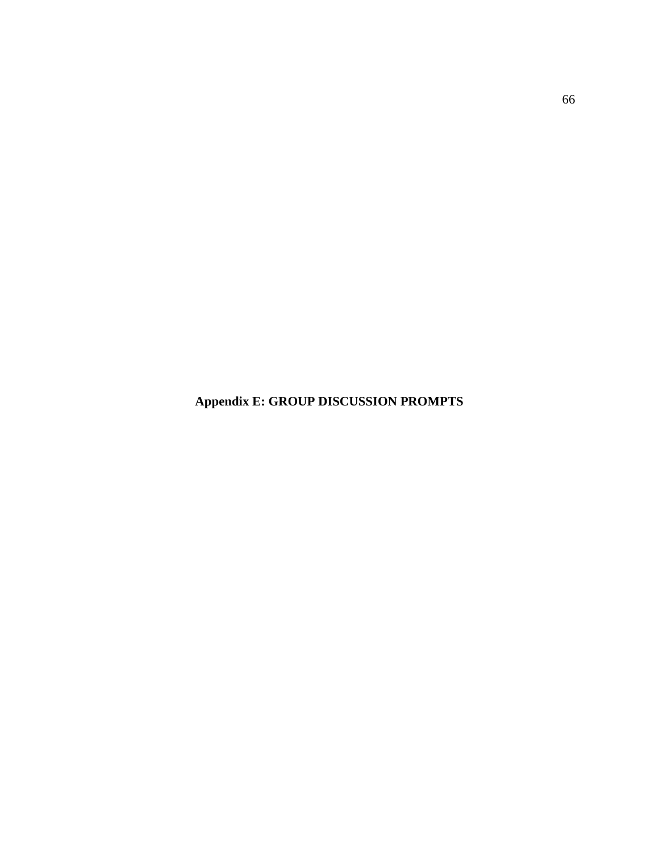**Appendix E: GROUP DISCUSSION PROMPTS**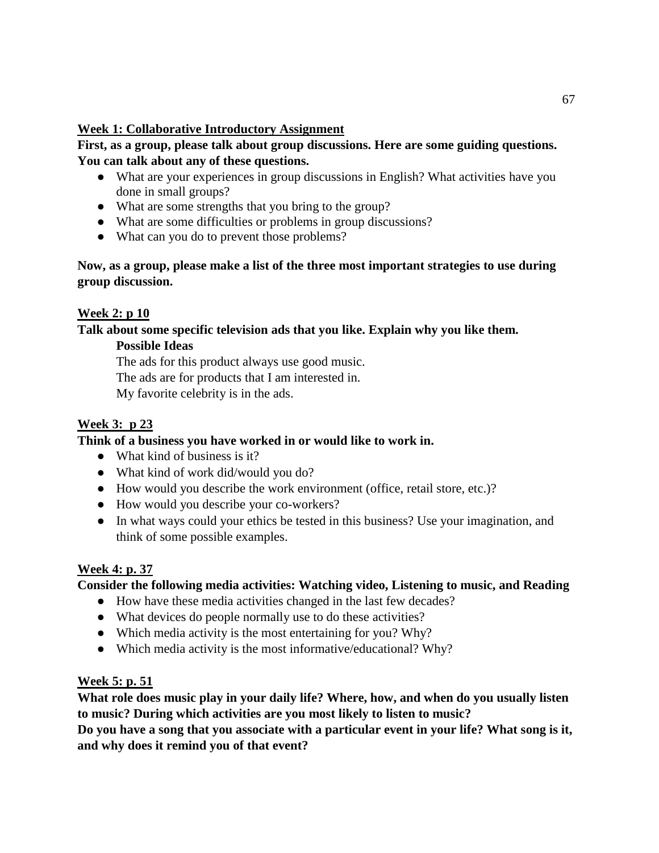## **Week 1: Collaborative Introductory Assignment**

**First, as a group, please talk about group discussions. Here are some guiding questions. You can talk about any of these questions.**

- What are your experiences in group discussions in English? What activities have you done in small groups?
- What are some strengths that you bring to the group?
- What are some difficulties or problems in group discussions?
- What can you do to prevent those problems?

## **Now, as a group, please make a list of the three most important strategies to use during group discussion.**

## **Week 2: p 10**

**Talk about some specific television ads that you like. Explain why you like them.**

## **Possible Ideas**

The ads for this product always use good music.

The ads are for products that I am interested in.

My favorite celebrity is in the ads.

# **Week 3: p 23**

## **Think of a business you have worked in or would like to work in.**

- What kind of business is it?
- What kind of work did/would you do?
- How would you describe the work environment (office, retail store, etc.)?
- How would you describe your co-workers?
- In what ways could your ethics be tested in this business? Use your imagination, and think of some possible examples.

# **Week 4: p. 37**

# **Consider the following media activities: Watching video, Listening to music, and Reading**

- How have these media activities changed in the last few decades?
- What devices do people normally use to do these activities?
- Which media activity is the most entertaining for you? Why?
- Which media activity is the most informative/educational? Why?

## **Week 5: p. 51**

**What role does music play in your daily life? Where, how, and when do you usually listen to music? During which activities are you most likely to listen to music?**

**Do you have a song that you associate with a particular event in your life? What song is it, and why does it remind you of that event?**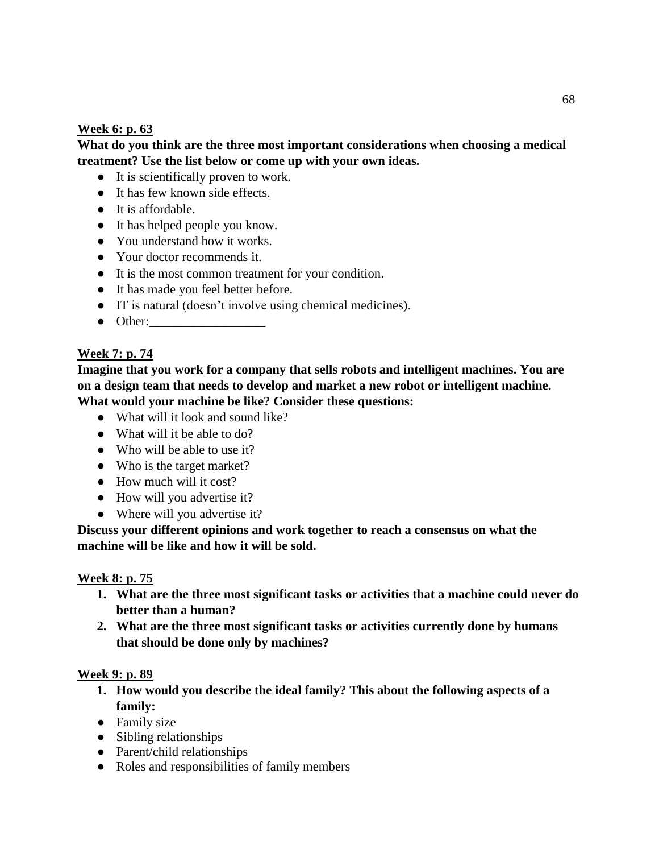## **Week 6: p. 63**

## **What do you think are the three most important considerations when choosing a medical treatment? Use the list below or come up with your own ideas.**

- It is scientifically proven to work.
- It has few known side effects.
- It is affordable.
- It has helped people you know.
- You understand how it works.
- Your doctor recommends it.
- It is the most common treatment for your condition.
- It has made you feel better before.
- IT is natural (doesn't involve using chemical medicines).
- $\bullet$  Other:

## **Week 7: p. 74**

**Imagine that you work for a company that sells robots and intelligent machines. You are on a design team that needs to develop and market a new robot or intelligent machine. What would your machine be like? Consider these questions:**

- What will it look and sound like?
- What will it be able to do?
- Who will be able to use it?
- Who is the target market?
- How much will it cost?
- How will you advertise it?
- Where will you advertise it?

**Discuss your different opinions and work together to reach a consensus on what the machine will be like and how it will be sold.** 

## **Week 8: p. 75**

- **1. What are the three most significant tasks or activities that a machine could never do better than a human?**
- **2. What are the three most significant tasks or activities currently done by humans that should be done only by machines?**

#### **Week 9: p. 89**

- **1. How would you describe the ideal family? This about the following aspects of a family:**
- Family size
- Sibling relationships
- Parent/child relationships
- Roles and responsibilities of family members